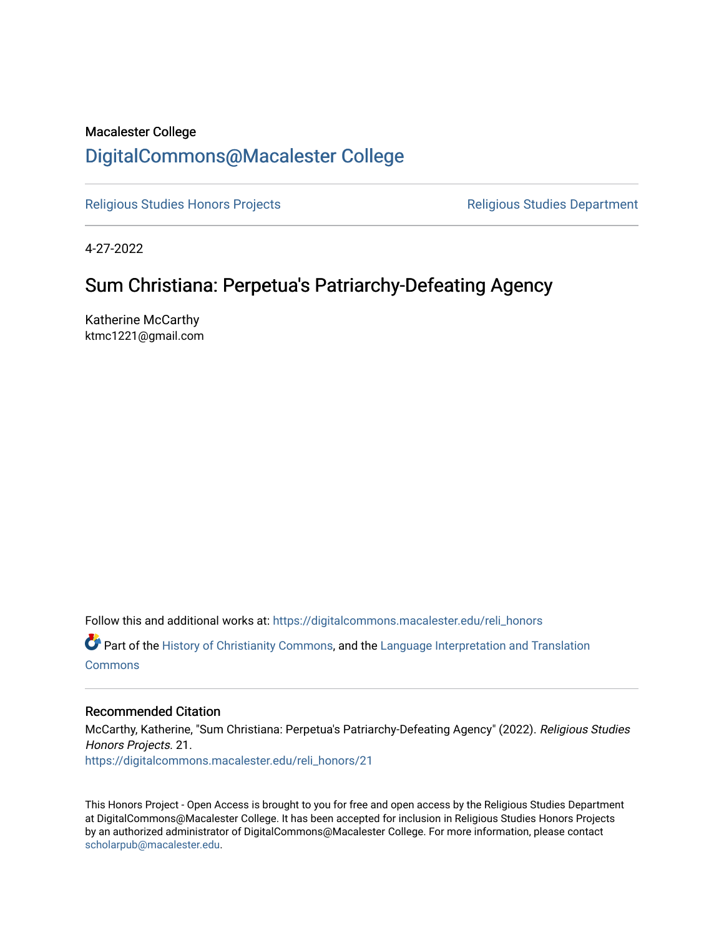# Macalester College [DigitalCommons@Macalester College](https://digitalcommons.macalester.edu/)

[Religious Studies Honors Projects](https://digitalcommons.macalester.edu/reli_honors) **Religious Studies Department** 

4-27-2022

# Sum Christiana: Perpetua's Patriarchy-Defeating Agency

Katherine McCarthy ktmc1221@gmail.com

Follow this and additional works at: [https://digitalcommons.macalester.edu/reli\\_honors](https://digitalcommons.macalester.edu/reli_honors?utm_source=digitalcommons.macalester.edu%2Freli_honors%2F21&utm_medium=PDF&utm_campaign=PDFCoverPages)

Part of the [History of Christianity Commons,](https://network.bepress.com/hgg/discipline/1182?utm_source=digitalcommons.macalester.edu%2Freli_honors%2F21&utm_medium=PDF&utm_campaign=PDFCoverPages) and the [Language Interpretation and Translation](https://network.bepress.com/hgg/discipline/1391?utm_source=digitalcommons.macalester.edu%2Freli_honors%2F21&utm_medium=PDF&utm_campaign=PDFCoverPages) **[Commons](https://network.bepress.com/hgg/discipline/1391?utm_source=digitalcommons.macalester.edu%2Freli_honors%2F21&utm_medium=PDF&utm_campaign=PDFCoverPages)** 

# Recommended Citation

McCarthy, Katherine, "Sum Christiana: Perpetua's Patriarchy-Defeating Agency" (2022). Religious Studies Honors Projects. 21. [https://digitalcommons.macalester.edu/reli\\_honors/21](https://digitalcommons.macalester.edu/reli_honors/21?utm_source=digitalcommons.macalester.edu%2Freli_honors%2F21&utm_medium=PDF&utm_campaign=PDFCoverPages) 

This Honors Project - Open Access is brought to you for free and open access by the Religious Studies Department at DigitalCommons@Macalester College. It has been accepted for inclusion in Religious Studies Honors Projects by an authorized administrator of DigitalCommons@Macalester College. For more information, please contact [scholarpub@macalester.edu](mailto:scholarpub@macalester.edu).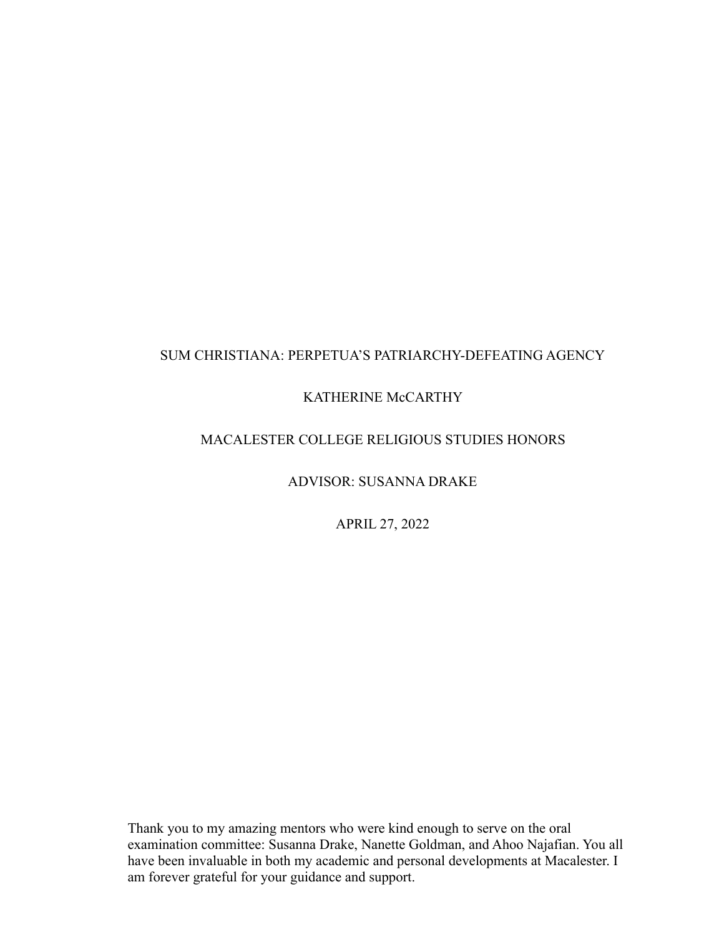# SUM CHRISTIANA: PERPETUA'S PATRIARCHY-DEFEATING AGENCY

# KATHERINE McCARTHY

# MACALESTER COLLEGE RELIGIOUS STUDIES HONORS

ADVISOR: SUSANNA DRAKE

APRIL 27, 2022

Thank you to my amazing mentors who were kind enough to serve on the oral examination committee: Susanna Drake, Nanette Goldman, and Ahoo Najafian. You all have been invaluable in both my academic and personal developments at Macalester. I am forever grateful for your guidance and support.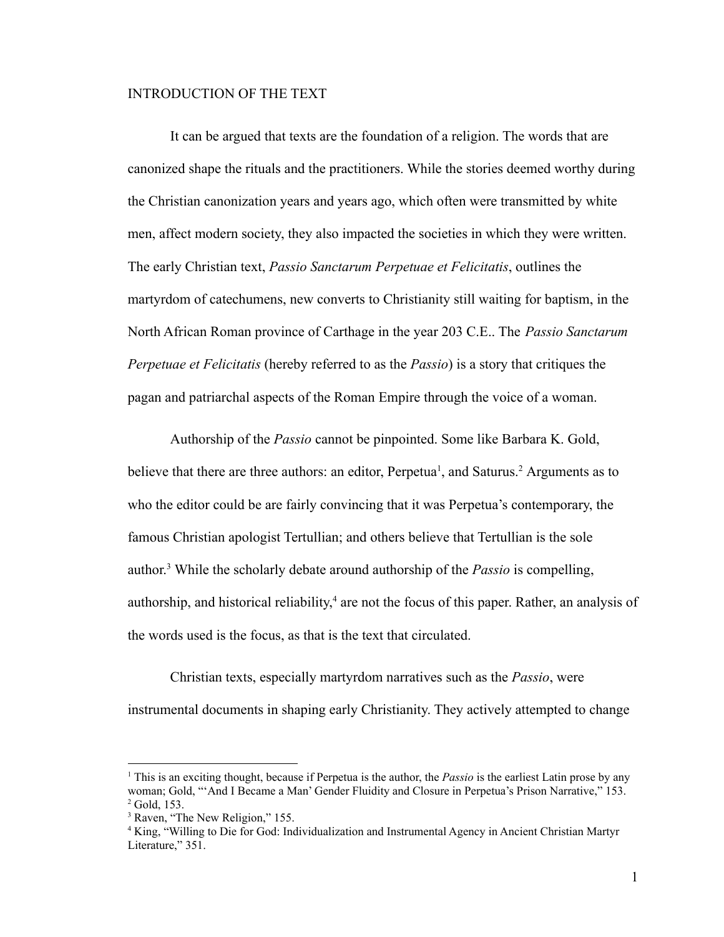#### INTRODUCTION OF THE TEXT

It can be argued that texts are the foundation of a religion. The words that are canonized shape the rituals and the practitioners. While the stories deemed worthy during the Christian canonization years and years ago, which often were transmitted by white men, affect modern society, they also impacted the societies in which they were written. The early Christian text, *Passio Sanctarum Perpetuae et Felicitatis*, outlines the martyrdom of catechumens, new converts to Christianity still waiting for baptism, in the North African Roman province of Carthage in the year 203 C.E.. The *Passio Sanctarum Perpetuae et Felicitatis* (hereby referred to as the *Passio*) is a story that critiques the pagan and patriarchal aspects of the Roman Empire through the voice of a woman.

Authorship of the *Passio* cannot be pinpointed. Some like Barbara K. Gold, believe that there are three authors: an editor, Perpetua<sup>1</sup>, and Saturus.<sup>2</sup> Arguments as to who the editor could be are fairly convincing that it was Perpetua's contemporary, the famous Christian apologist Tertullian; and others believe that Tertullian is the sole author. <sup>3</sup> While the scholarly debate around authorship of the *Passio* is compelling, authorship, and historical reliability, <sup>4</sup> are not the focus of this paper. Rather, an analysis of the words used is the focus, as that is the text that circulated.

Christian texts, especially martyrdom narratives such as the *Passio*, were instrumental documents in shaping early Christianity. They actively attempted to change

 $2$  Gold, 153. <sup>1</sup> This is an exciting thought, because if Perpetua is the author, the *Passio* is the earliest Latin prose by any woman; Gold, "'And I Became a Man' Gender Fluidity and Closure in Perpetua's Prison Narrative," 153.

<sup>&</sup>lt;sup>3</sup> Raven, "The New Religion," 155.

<sup>4</sup> King, "Willing to Die for God: Individualization and Instrumental Agency in Ancient Christian Martyr Literature," 351.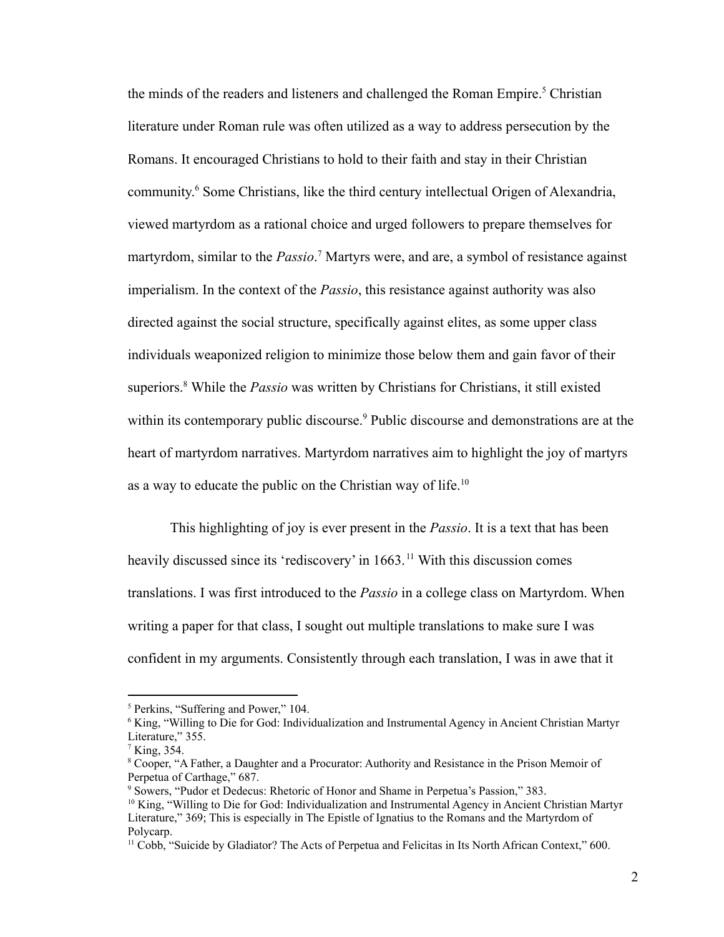the minds of the readers and listeners and challenged the Roman Empire.<sup>5</sup> Christian literature under Roman rule was often utilized as a way to address persecution by the Romans. It encouraged Christians to hold to their faith and stay in their Christian community. <sup>6</sup> Some Christians, like the third century intellectual Origen of Alexandria, viewed martyrdom as a rational choice and urged followers to prepare themselves for martyrdom, similar to the *Passio*. <sup>7</sup> Martyrs were, and are, a symbol of resistance against imperialism. In the context of the *Passio*, this resistance against authority was also directed against the social structure, specifically against elites, as some upper class individuals weaponized religion to minimize those below them and gain favor of their superiors.<sup>8</sup> While the *Passio* was written by Christians for Christians, it still existed within its contemporary public discourse.<sup>9</sup> Public discourse and demonstrations are at the heart of martyrdom narratives. Martyrdom narratives aim to highlight the joy of martyrs as a way to educate the public on the Christian way of life.<sup>10</sup>

This highlighting of joy is ever present in the *Passio*. It is a text that has been heavily discussed since its 'rediscovery' in 1663.<sup>11</sup> With this discussion comes translations. I was first introduced to the *Passio* in a college class on Martyrdom. When writing a paper for that class, I sought out multiple translations to make sure I was confident in my arguments. Consistently through each translation, I was in awe that it

<sup>5</sup> Perkins, "Suffering and Power," 104.

<sup>&</sup>lt;sup>6</sup> King, "Willing to Die for God: Individualization and Instrumental Agency in Ancient Christian Martyr Literature," 355.

 $<sup>7</sup>$  King, 354.</sup>

<sup>8</sup> Cooper, "A Father, a Daughter and a Procurator: Authority and Resistance in the Prison Memoir of Perpetua of Carthage," 687.

<sup>9</sup> Sowers, "Pudor et Dedecus: Rhetoric of Honor and Shame in Perpetua's Passion," 383.

<sup>10</sup> King, "Willing to Die for God: Individualization and Instrumental Agency in Ancient Christian Martyr Literature," 369; This is especially in The Epistle of Ignatius to the Romans and the Martyrdom of Polycarp.

<sup>&</sup>lt;sup>11</sup> Cobb, "Suicide by Gladiator? The Acts of Perpetua and Felicitas in Its North African Context," 600.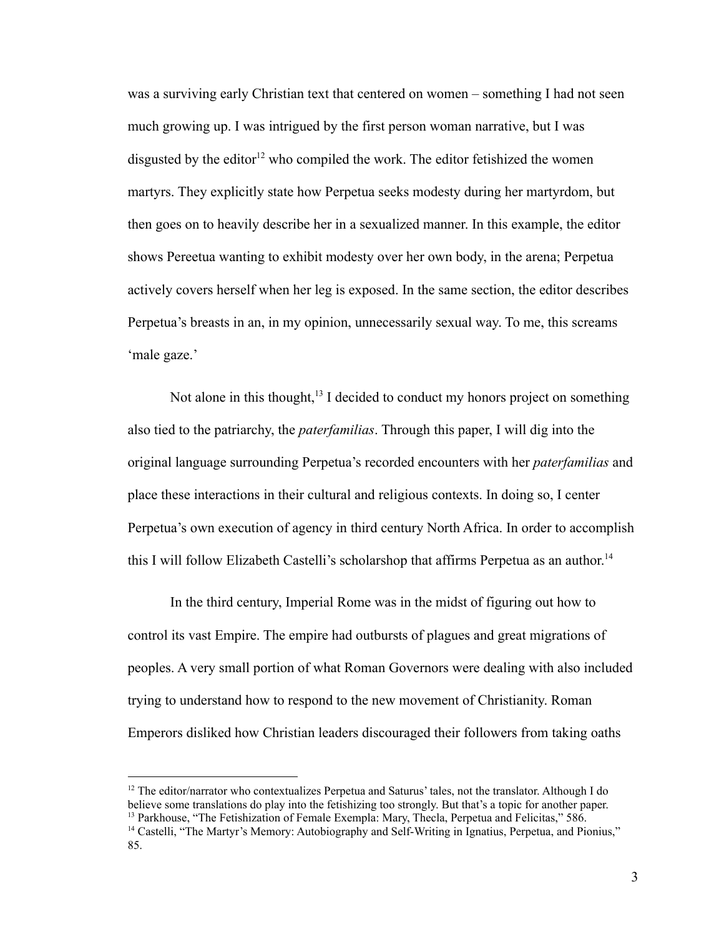was a surviving early Christian text that centered on women – something I had not seen much growing up. I was intrigued by the first person woman narrative, but I was disgusted by the editor<sup>12</sup> who compiled the work. The editor fetishized the women martyrs. They explicitly state how Perpetua seeks modesty during her martyrdom, but then goes on to heavily describe her in a sexualized manner. In this example, the editor shows Pereetua wanting to exhibit modesty over her own body, in the arena; Perpetua actively covers herself when her leg is exposed. In the same section, the editor describes Perpetua's breasts in an, in my opinion, unnecessarily sexual way. To me, this screams 'male gaze.'

Not alone in this thought, $13$  I decided to conduct my honors project on something also tied to the patriarchy, the *paterfamilias*. Through this paper, I will dig into the original language surrounding Perpetua's recorded encounters with her *paterfamilias* and place these interactions in their cultural and religious contexts. In doing so, I center Perpetua's own execution of agency in third century North Africa. In order to accomplish this I will follow Elizabeth Castelli's scholarshop that affirms Perpetua as an author. 14

In the third century, Imperial Rome was in the midst of figuring out how to control its vast Empire. The empire had outbursts of plagues and great migrations of peoples. A very small portion of what Roman Governors were dealing with also included trying to understand how to respond to the new movement of Christianity. Roman Emperors disliked how Christian leaders discouraged their followers from taking oaths

<sup>&</sup>lt;sup>13</sup> Parkhouse, "The Fetishization of Female Exempla: Mary, Thecla, Perpetua and Felicitas," 586. <sup>12</sup> The editor/narrator who contextualizes Perpetua and Saturus' tales, not the translator. Although I do believe some translations do play into the fetishizing too strongly. But that's a topic for another paper.

<sup>&</sup>lt;sup>14</sup> Castelli, "The Martyr's Memory: Autobiography and Self-Writing in Ignatius, Perpetua, and Pionius," 85.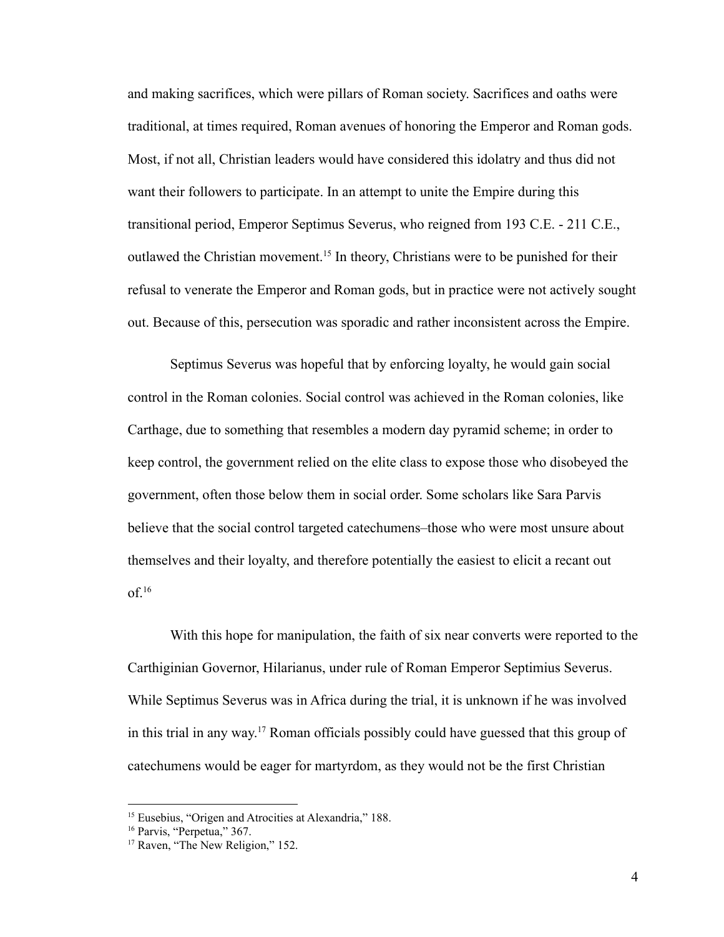and making sacrifices, which were pillars of Roman society. Sacrifices and oaths were traditional, at times required, Roman avenues of honoring the Emperor and Roman gods. Most, if not all, Christian leaders would have considered this idolatry and thus did not want their followers to participate. In an attempt to unite the Empire during this transitional period, Emperor Septimus Severus, who reigned from 193 C.E. - 211 C.E., outlawed the Christian movement.<sup>15</sup> In theory, Christians were to be punished for their refusal to venerate the Emperor and Roman gods, but in practice were not actively sought out. Because of this, persecution was sporadic and rather inconsistent across the Empire.

Septimus Severus was hopeful that by enforcing loyalty, he would gain social control in the Roman colonies. Social control was achieved in the Roman colonies, like Carthage, due to something that resembles a modern day pyramid scheme; in order to keep control, the government relied on the elite class to expose those who disobeyed the government, often those below them in social order. Some scholars like Sara Parvis believe that the social control targeted catechumens–those who were most unsure about themselves and their loyalty, and therefore potentially the easiest to elicit a recant out  $of.<sup>16</sup>$ 

With this hope for manipulation, the faith of six near converts were reported to the Carthiginian Governor, Hilarianus, under rule of Roman Emperor Septimius Severus. While Septimus Severus was in Africa during the trial, it is unknown if he was involved in this trial in any way. <sup>17</sup> Roman officials possibly could have guessed that this group of catechumens would be eager for martyrdom, as they would not be the first Christian

<sup>&</sup>lt;sup>15</sup> Eusebius, "Origen and Atrocities at Alexandria," 188.

<sup>&</sup>lt;sup>16</sup> Parvis, "Perpetua," 367.

<sup>&</sup>lt;sup>17</sup> Raven, "The New Religion," 152.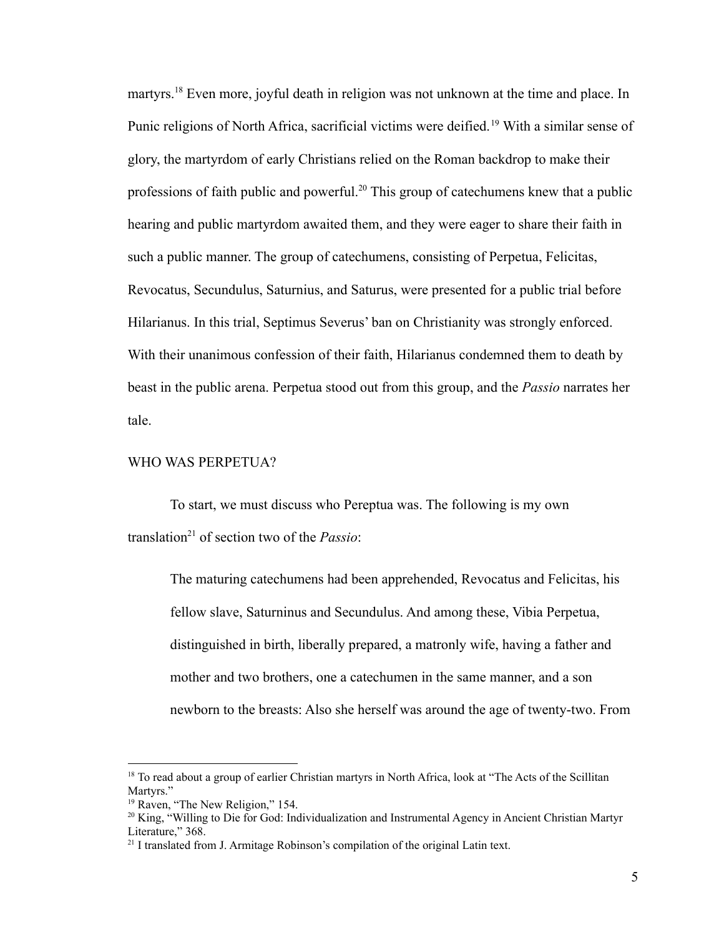martyrs.<sup>18</sup> Even more, joyful death in religion was not unknown at the time and place. In Punic religions of North Africa, sacrificial victims were deified.<sup>19</sup> With a similar sense of glory, the martyrdom of early Christians relied on the Roman backdrop to make their professions of faith public and powerful.<sup>20</sup> This group of catechumens knew that a public hearing and public martyrdom awaited them, and they were eager to share their faith in such a public manner. The group of catechumens, consisting of Perpetua, Felicitas, Revocatus, Secundulus, Saturnius, and Saturus, were presented for a public trial before Hilarianus. In this trial, Septimus Severus' ban on Christianity was strongly enforced. With their unanimous confession of their faith, Hilarianus condemned them to death by beast in the public arena. Perpetua stood out from this group, and the *Passio* narrates her tale.

# WHO WAS PERPETUA?

To start, we must discuss who Pereptua was. The following is my own translation<sup>21</sup> of section two of the *Passio*:

The maturing catechumens had been apprehended, Revocatus and Felicitas, his fellow slave, Saturninus and Secundulus. And among these, Vibia Perpetua, distinguished in birth, liberally prepared, a matronly wife, having a father and mother and two brothers, one a catechumen in the same manner, and a son newborn to the breasts: Also she herself was around the age of twenty-two. From

<sup>&</sup>lt;sup>18</sup> To read about a group of earlier Christian martyrs in North Africa, look at "The Acts of the Scillitan" Martyrs<sup>"</sup>

<sup>&</sup>lt;sup>19</sup> Raven, "The New Religion," 154.

<sup>&</sup>lt;sup>20</sup> King, "Willing to Die for God: Individualization and Instrumental Agency in Ancient Christian Martyr Literature," 368.

<sup>&</sup>lt;sup>21</sup> I translated from J. Armitage Robinson's compilation of the original Latin text.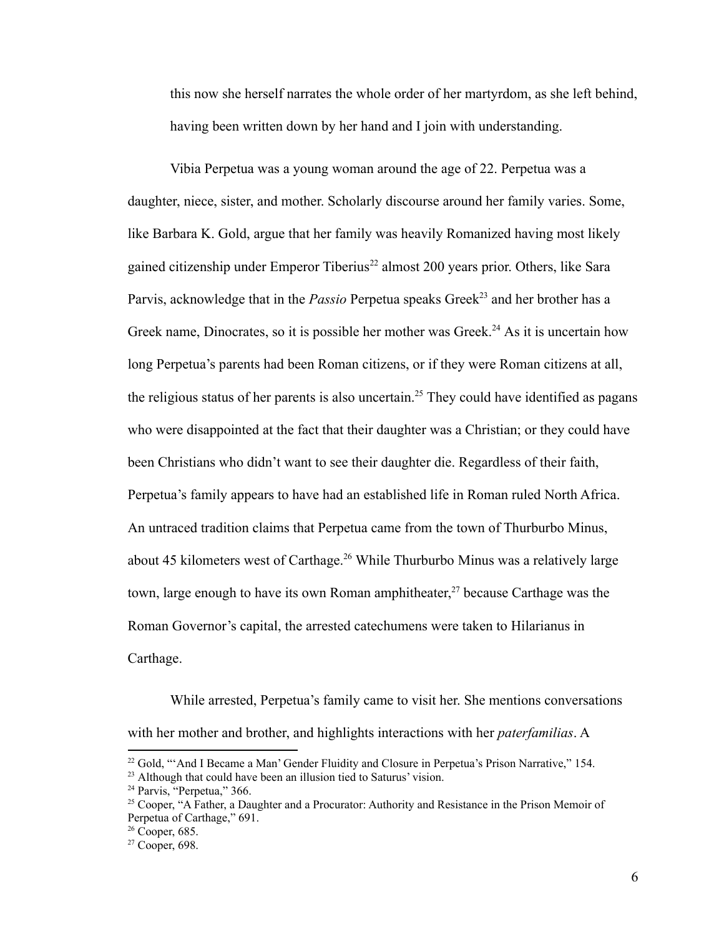this now she herself narrates the whole order of her martyrdom, as she left behind, having been written down by her hand and I join with understanding.

Vibia Perpetua was a young woman around the age of 22. Perpetua was a daughter, niece, sister, and mother. Scholarly discourse around her family varies. Some, like Barbara K. Gold, argue that her family was heavily Romanized having most likely gained citizenship under Emperor Tiberius<sup>22</sup> almost 200 years prior. Others, like Sara Parvis, acknowledge that in the *Passio* Perpetua speaks Greek<sup>23</sup> and her brother has a Greek name, Dinocrates, so it is possible her mother was Greek.<sup>24</sup> As it is uncertain how long Perpetua's parents had been Roman citizens, or if they were Roman citizens at all, the religious status of her parents is also uncertain.<sup>25</sup> They could have identified as pagans who were disappointed at the fact that their daughter was a Christian; or they could have been Christians who didn't want to see their daughter die. Regardless of their faith, Perpetua's family appears to have had an established life in Roman ruled North Africa. An untraced tradition claims that Perpetua came from the town of Thurburbo Minus, about 45 kilometers west of Carthage.<sup>26</sup> While Thurburbo Minus was a relatively large town, large enough to have its own Roman amphitheater, <sup>27</sup> because Carthage was the Roman Governor's capital, the arrested catechumens were taken to Hilarianus in Carthage.

While arrested, Perpetua's family came to visit her. She mentions conversations with her mother and brother, and highlights interactions with her *paterfamilias*. A

<sup>&</sup>lt;sup>22</sup> Gold, "'And I Became a Man' Gender Fluidity and Closure in Perpetua's Prison Narrative," 154.

<sup>&</sup>lt;sup>23</sup> Although that could have been an illusion tied to Saturus' vision.

<sup>&</sup>lt;sup>24</sup> Parvis, "Perpetua," 366.

<sup>&</sup>lt;sup>25</sup> Cooper, "A Father, a Daughter and a Procurator: Authority and Resistance in the Prison Memoir of Perpetua of Carthage," 691.

 $26$  Cooper, 685.

 $27$  Cooper, 698.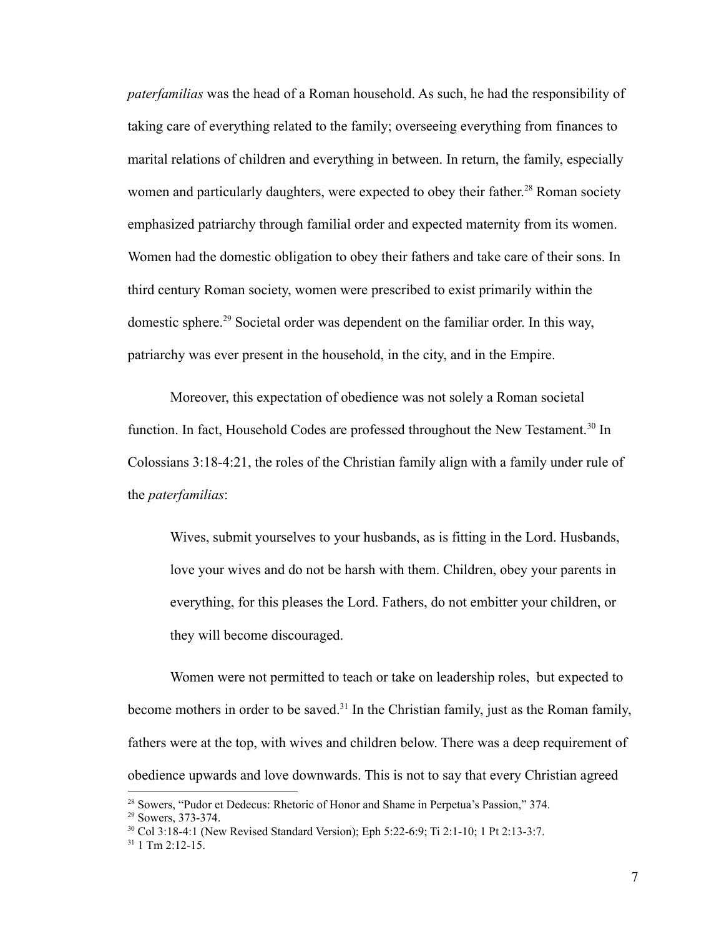*paterfamilias* was the head of a Roman household. As such, he had the responsibility of taking care of everything related to the family; overseeing everything from finances to marital relations of children and everything in between. In return, the family, especially women and particularly daughters, were expected to obey their father.<sup>28</sup> Roman society emphasized patriarchy through familial order and expected maternity from its women. Women had the domestic obligation to obey their fathers and take care of their sons. In third century Roman society, women were prescribed to exist primarily within the domestic sphere.<sup>29</sup> Societal order was dependent on the familiar order. In this way, patriarchy was ever present in the household, in the city, and in the Empire.

Moreover, this expectation of obedience was not solely a Roman societal function. In fact, Household Codes are professed throughout the New Testament.<sup>30</sup> In Colossians 3:18-4:21, the roles of the Christian family align with a family under rule of the *paterfamilias*:

Wives, submit yourselves to your husbands, as is fitting in the Lord. Husbands, love your wives and do not be harsh with them. Children, obey your parents in everything, for this pleases the Lord. Fathers, do not embitter your children, or they will become discouraged.

Women were not permitted to teach or take on leadership roles, but expected to become mothers in order to be saved.<sup>31</sup> In the Christian family, just as the Roman family, fathers were at the top, with wives and children below. There was a deep requirement of obedience upwards and love downwards. This is not to say that every Christian agreed

<sup>&</sup>lt;sup>28</sup> Sowers, "Pudor et Dedecus: Rhetoric of Honor and Shame in Perpetua's Passion," 374.

<sup>29</sup> Sowers, 373-374.

<sup>30</sup> Col 3:18-4:1 (New Revised Standard Version); Eph 5:22-6:9; Ti 2:1-10; 1 Pt 2:13-3:7.

 $31$  1 Tm 2:12-15.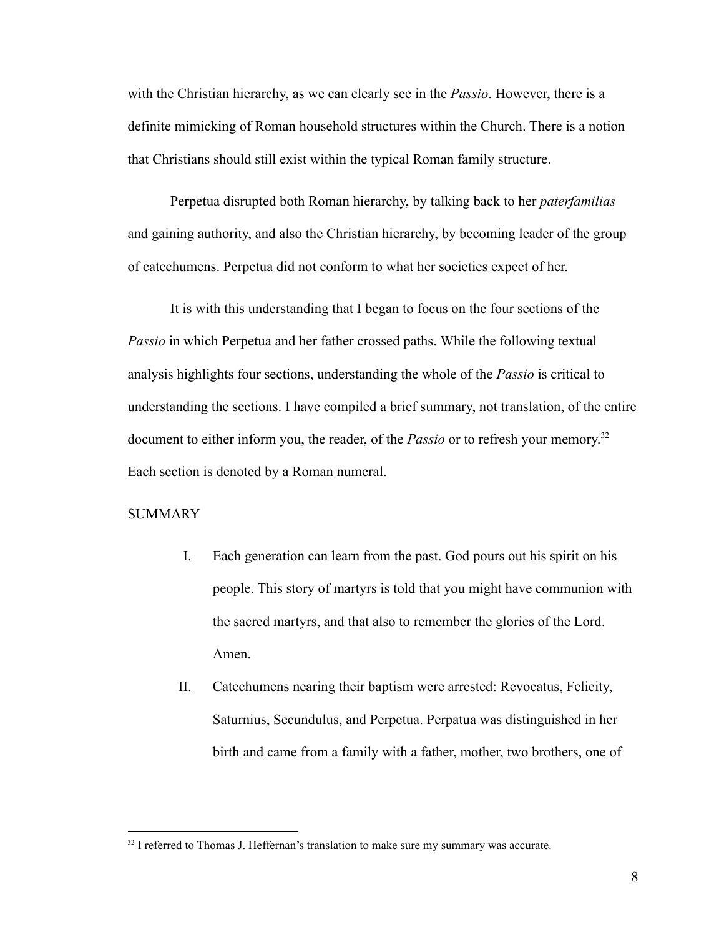with the Christian hierarchy, as we can clearly see in the *Passio*. However, there is a definite mimicking of Roman household structures within the Church. There is a notion that Christians should still exist within the typical Roman family structure.

Perpetua disrupted both Roman hierarchy, by talking back to her *paterfamilias* and gaining authority, and also the Christian hierarchy, by becoming leader of the group of catechumens. Perpetua did not conform to what her societies expect of her.

It is with this understanding that I began to focus on the four sections of the *Passio* in which Perpetua and her father crossed paths. While the following textual analysis highlights four sections, understanding the whole of the *Passio* is critical to understanding the sections. I have compiled a brief summary, not translation, of the entire document to either inform you, the reader, of the *Passio* or to refresh your memory. 32 Each section is denoted by a Roman numeral.

# **SUMMARY**

- I. Each generation can learn from the past. God pours out his spirit on his people. This story of martyrs is told that you might have communion with the sacred martyrs, and that also to remember the glories of the Lord. Amen.
- II. Catechumens nearing their baptism were arrested: Revocatus, Felicity, Saturnius, Secundulus, and Perpetua. Perpatua was distinguished in her birth and came from a family with a father, mother, two brothers, one of

<sup>&</sup>lt;sup>32</sup> I referred to Thomas J. Heffernan's translation to make sure my summary was accurate.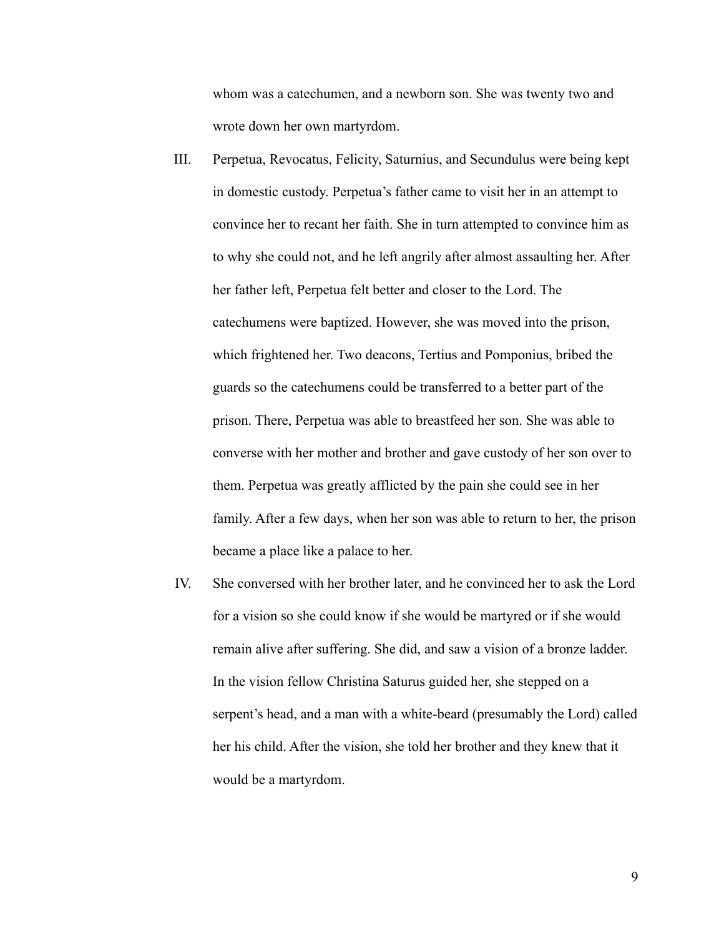whom was a catechumen, and a newborn son. She was twenty two and wrote down her own martyrdom.

- III. Perpetua, Revocatus, Felicity, Saturnius, and Secundulus were being kept in domestic custody. Perpetua's father came to visit her in an attempt to convince her to recant her faith. She in turn attempted to convince him as to why she could not, and he left angrily after almost assaulting her. After her father left, Perpetua felt better and closer to the Lord. The catechumens were baptized. However, she was moved into the prison, which frightened her. Two deacons, Tertius and Pomponius, bribed the guards so the catechumens could be transferred to a better part of the prison. There, Perpetua was able to breastfeed her son. She was able to converse with her mother and brother and gave custody of her son over to them. Perpetua was greatly afflicted by the pain she could see in her family. After a few days, when her son was able to return to her, the prison became a place like a palace to her.
- IV. She conversed with her brother later, and he convinced her to ask the Lord for a vision so she could know if she would be martyred or if she would remain alive after suffering. She did, and saw a vision of a bronze ladder. In the vision fellow Christina Saturus guided her, she stepped on a serpent's head, and a man with a white-beard (presumably the Lord) called her his child. After the vision, she told her brother and they knew that it would be a martyrdom.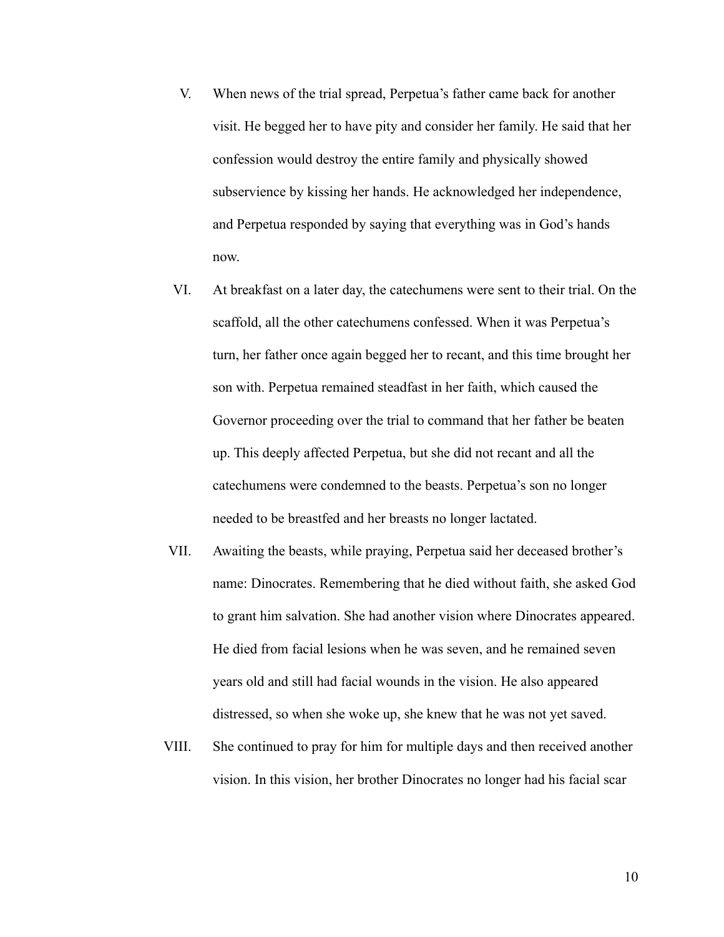- V. When news of the trial spread, Perpetua's father came back for another visit. He begged her to have pity and consider her family. He said that her confession would destroy the entire family and physically showed subservience by kissing her hands. He acknowledged her independence, and Perpetua responded by saying that everything was in God's hands now.
- VI. At breakfast on a later day, the catechumens were sent to their trial. On the scaffold, all the other catechumens confessed. When it was Perpetua's turn, her father once again begged her to recant, and this time brought her son with. Perpetua remained steadfast in her faith, which caused the Governor proceeding over the trial to command that her father be beaten up. This deeply affected Perpetua, but she did not recant and all the catechumens were condemned to the beasts. Perpetua's son no longer needed to be breastfed and her breasts no longer lactated.
- VII. Awaiting the beasts, while praying, Perpetua said her deceased brother's name: Dinocrates. Remembering that he died without faith, she asked God to grant him salvation. She had another vision where Dinocrates appeared. He died from facial lesions when he was seven, and he remained seven years old and still had facial wounds in the vision. He also appeared distressed, so when she woke up, she knew that he was not yet saved.
- VIII. She continued to pray for him for multiple days and then received another vision. In this vision, her brother Dinocrates no longer had his facial scar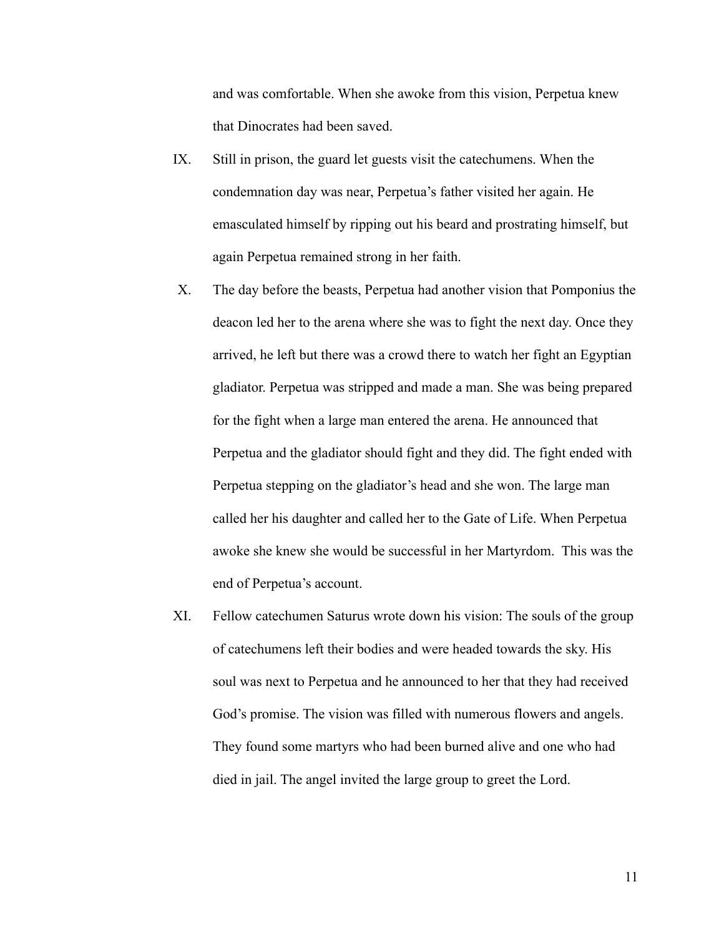and was comfortable. When she awoke from this vision, Perpetua knew that Dinocrates had been saved.

- IX. Still in prison, the guard let guests visit the catechumens. When the condemnation day was near, Perpetua's father visited her again. He emasculated himself by ripping out his beard and prostrating himself, but again Perpetua remained strong in her faith.
- X. The day before the beasts, Perpetua had another vision that Pomponius the deacon led her to the arena where she was to fight the next day. Once they arrived, he left but there was a crowd there to watch her fight an Egyptian gladiator. Perpetua was stripped and made a man. She was being prepared for the fight when a large man entered the arena. He announced that Perpetua and the gladiator should fight and they did. The fight ended with Perpetua stepping on the gladiator's head and she won. The large man called her his daughter and called her to the Gate of Life. When Perpetua awoke she knew she would be successful in her Martyrdom. This was the end of Perpetua's account.
- XI. Fellow catechumen Saturus wrote down his vision: The souls of the group of catechumens left their bodies and were headed towards the sky. His soul was next to Perpetua and he announced to her that they had received God's promise. The vision was filled with numerous flowers and angels. They found some martyrs who had been burned alive and one who had died in jail. The angel invited the large group to greet the Lord.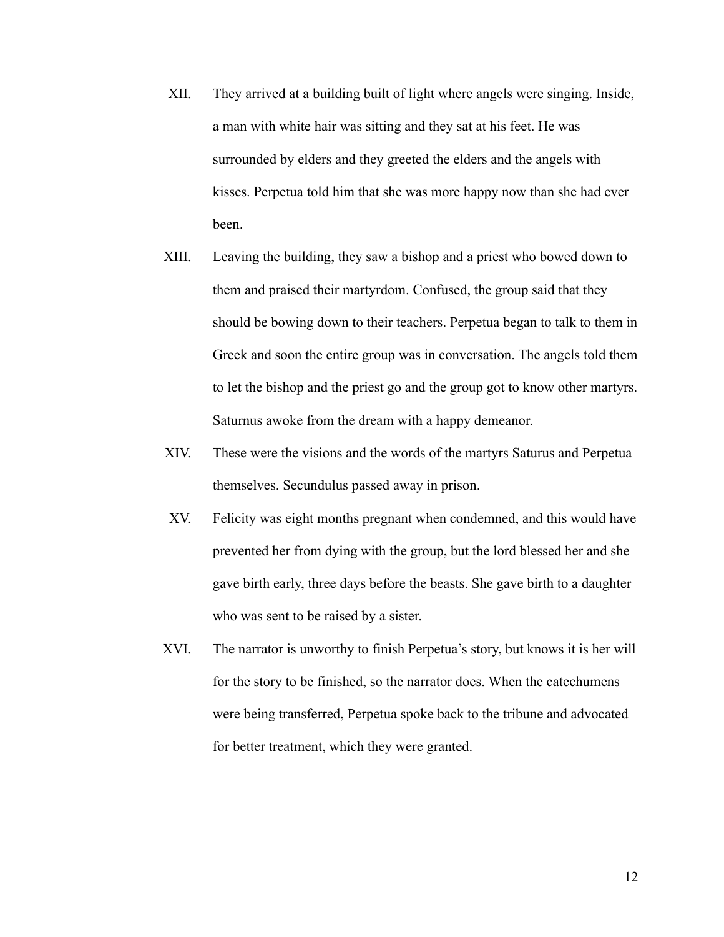- XII. They arrived at a building built of light where angels were singing. Inside, a man with white hair was sitting and they sat at his feet. He was surrounded by elders and they greeted the elders and the angels with kisses. Perpetua told him that she was more happy now than she had ever been.
- XIII. Leaving the building, they saw a bishop and a priest who bowed down to them and praised their martyrdom. Confused, the group said that they should be bowing down to their teachers. Perpetua began to talk to them in Greek and soon the entire group was in conversation. The angels told them to let the bishop and the priest go and the group got to know other martyrs. Saturnus awoke from the dream with a happy demeanor.
- XIV. These were the visions and the words of the martyrs Saturus and Perpetua themselves. Secundulus passed away in prison.
- XV. Felicity was eight months pregnant when condemned, and this would have prevented her from dying with the group, but the lord blessed her and she gave birth early, three days before the beasts. She gave birth to a daughter who was sent to be raised by a sister.
- XVI. The narrator is unworthy to finish Perpetua's story, but knows it is her will for the story to be finished, so the narrator does. When the catechumens were being transferred, Perpetua spoke back to the tribune and advocated for better treatment, which they were granted.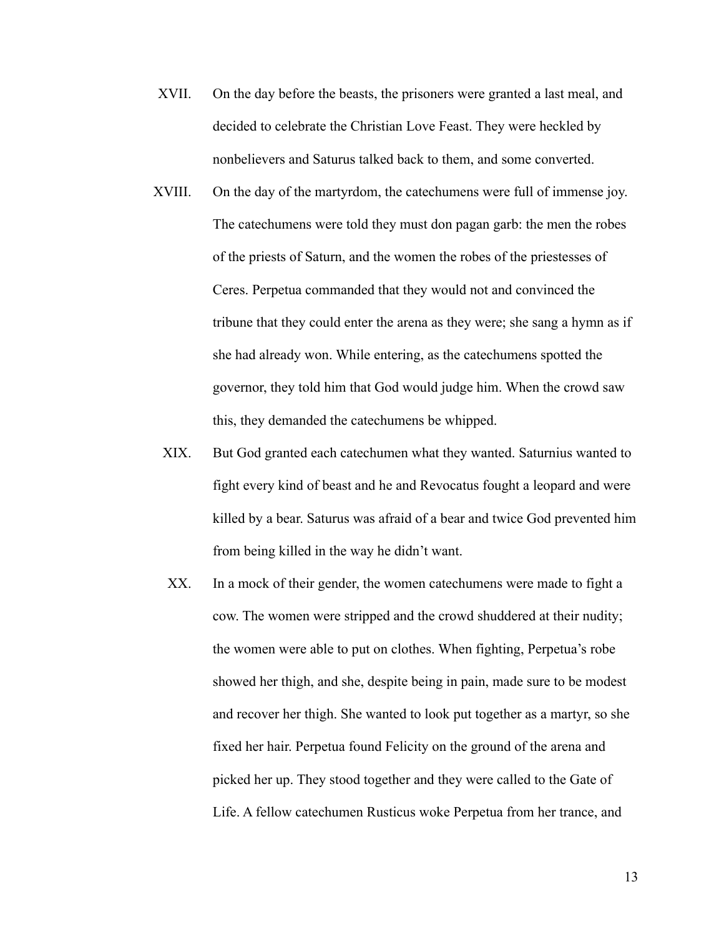- XVII. On the day before the beasts, the prisoners were granted a last meal, and decided to celebrate the Christian Love Feast. They were heckled by nonbelievers and Saturus talked back to them, and some converted.
- XVIII. On the day of the martyrdom, the catechumens were full of immense joy. The catechumens were told they must don pagan garb: the men the robes of the priests of Saturn, and the women the robes of the priestesses of Ceres. Perpetua commanded that they would not and convinced the tribune that they could enter the arena as they were; she sang a hymn as if she had already won. While entering, as the catechumens spotted the governor, they told him that God would judge him. When the crowd saw this, they demanded the catechumens be whipped.
	- XIX. But God granted each catechumen what they wanted. Saturnius wanted to fight every kind of beast and he and Revocatus fought a leopard and were killed by a bear. Saturus was afraid of a bear and twice God prevented him from being killed in the way he didn't want.
	- XX. In a mock of their gender, the women cate chumens were made to fight a cow. The women were stripped and the crowd shuddered at their nudity; the women were able to put on clothes. When fighting, Perpetua's robe showed her thigh, and she, despite being in pain, made sure to be modest and recover her thigh. She wanted to look put together as a martyr, so she fixed her hair. Perpetua found Felicity on the ground of the arena and picked her up. They stood together and they were called to the Gate of Life. A fellow catechumen Rusticus woke Perpetua from her trance, and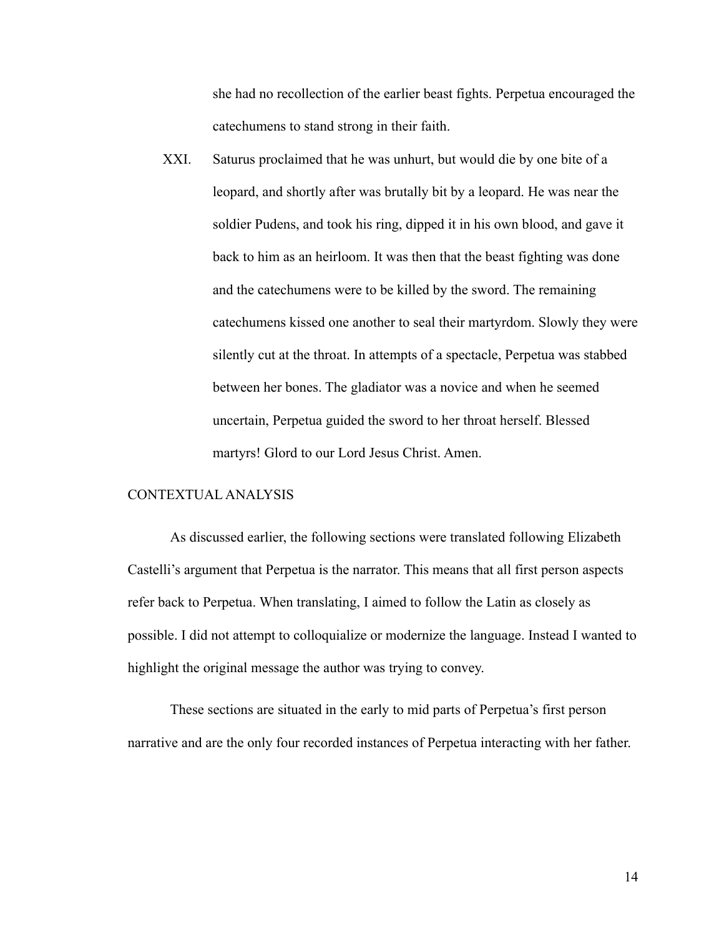she had no recollection of the earlier beast fights. Perpetua encouraged the catechumens to stand strong in their faith.

XXI. Saturus proclaimed that he was unhurt, but would die by one bite of a leopard, and shortly after was brutally bit by a leopard. He was near the soldier Pudens, and took his ring, dipped it in his own blood, and gave it back to him as an heirloom. It was then that the beast fighting was done and the catechumens were to be killed by the sword. The remaining catechumens kissed one another to seal their martyrdom. Slowly they were silently cut at the throat. In attempts of a spectacle, Perpetua was stabbed between her bones. The gladiator was a novice and when he seemed uncertain, Perpetua guided the sword to her throat herself. Blessed martyrs! Glord to our Lord Jesus Christ. Amen.

# CONTEXTUAL ANALYSIS

As discussed earlier, the following sections were translated following Elizabeth Castelli's argument that Perpetua is the narrator. This means that all first person aspects refer back to Perpetua. When translating, I aimed to follow the Latin as closely as possible. I did not attempt to colloquialize or modernize the language. Instead I wanted to highlight the original message the author was trying to convey.

These sections are situated in the early to mid parts of Perpetua's first person narrative and are the only four recorded instances of Perpetua interacting with her father.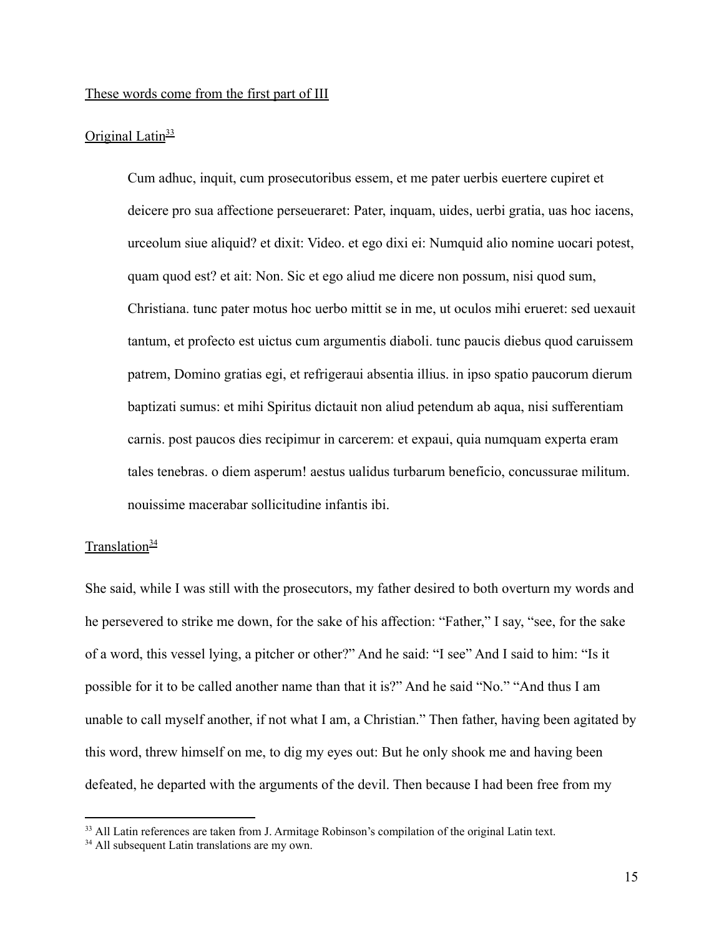## These words come from the first part of III

#### Original Latin $\frac{33}{2}$

Cum adhuc, inquit, cum prosecutoribus essem, et me pater uerbis euertere cupiret et deicere pro sua affectione perseueraret: Pater, inquam, uides, uerbi gratia, uas hoc iacens, urceolum siue aliquid? et dixit: Video. et ego dixi ei: Numquid alio nomine uocari potest, quam quod est? et ait: Non. Sic et ego aliud me dicere non possum, nisi quod sum, Christiana. tunc pater motus hoc uerbo mittit se in me, ut oculos mihi erueret: sed uexauit tantum, et profecto est uictus cum argumentis diaboli. tunc paucis diebus quod caruissem patrem, Domino gratias egi, et refrigeraui absentia illius. in ipso spatio paucorum dierum baptizati sumus: et mihi Spiritus dictauit non aliud petendum ab aqua, nisi sufferentiam carnis. post paucos dies recipimur in carcerem: et expaui, quia numquam experta eram tales tenebras. o diem asperum! aestus ualidus turbarum beneficio, concussurae militum. nouissime macerabar sollicitudine infantis ibi.

## Translation $\frac{34}{3}$

She said, while I was still with the prosecutors, my father desired to both overturn my words and he persevered to strike me down, for the sake of his affection: "Father," I say, "see, for the sake of a word, this vessel lying, a pitcher or other?" And he said: "I see" And I said to him: "Is it possible for it to be called another name than that it is?" And he said "No." "And thus I am unable to call myself another, if not what I am, a Christian." Then father, having been agitated by this word, threw himself on me, to dig my eyes out: But he only shook me and having been defeated, he departed with the arguments of the devil. Then because I had been free from my

<sup>&</sup>lt;sup>33</sup> All Latin references are taken from J. Armitage Robinson's compilation of the original Latin text.

<sup>&</sup>lt;sup>34</sup> All subsequent Latin translations are my own.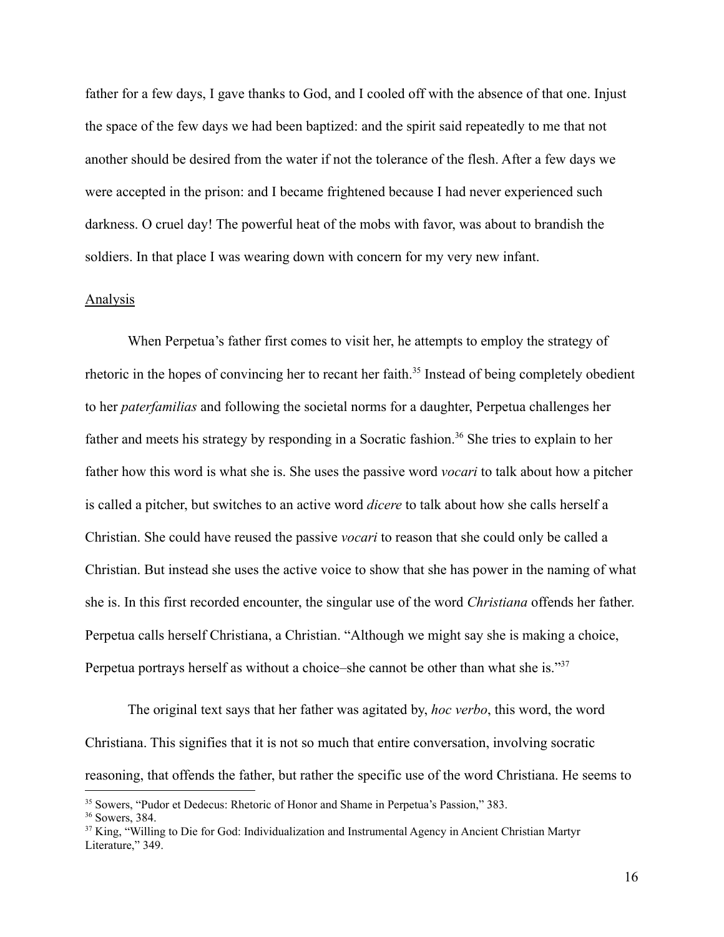father for a few days, I gave thanks to God, and I cooled off with the absence of that one. Injust the space of the few days we had been baptized: and the spirit said repeatedly to me that not another should be desired from the water if not the tolerance of the flesh. After a few days we were accepted in the prison: and I became frightened because I had never experienced such darkness. O cruel day! The powerful heat of the mobs with favor, was about to brandish the soldiers. In that place I was wearing down with concern for my very new infant.

#### Analysis

When Perpetua's father first comes to visit her, he attempts to employ the strategy of rhetoric in the hopes of convincing her to recant her faith.<sup>35</sup> Instead of being completely obedient to her *paterfamilias* and following the societal norms for a daughter, Perpetua challenges her father and meets his strategy by responding in a Socratic fashion.<sup>36</sup> She tries to explain to her father how this word is what she is. She uses the passive word *vocari* to talk about how a pitcher is called a pitcher, but switches to an active word *dicere* to talk about how she calls herself a Christian. She could have reused the passive *vocari* to reason that she could only be called a Christian. But instead she uses the active voice to show that she has power in the naming of what she is. In this first recorded encounter, the singular use of the word *Christiana* offends her father. Perpetua calls herself Christiana, a Christian. "Although we might say she is making a choice, Perpetua portrays herself as without a choice–she cannot be other than what she is."<sup>37</sup>

The original text says that her father was agitated by, *hoc verbo*, this word, the word Christiana. This signifies that it is not so much that entire conversation, involving socratic reasoning, that offends the father, but rather the specific use of the word Christiana. He seems to

<sup>35</sup> Sowers, "Pudor et Dedecus: Rhetoric of Honor and Shame in Perpetua's Passion," 383.

<sup>36</sup> Sowers, 384.

<sup>&</sup>lt;sup>37</sup> King, "Willing to Die for God: Individualization and Instrumental Agency in Ancient Christian Martyr Literature," 349.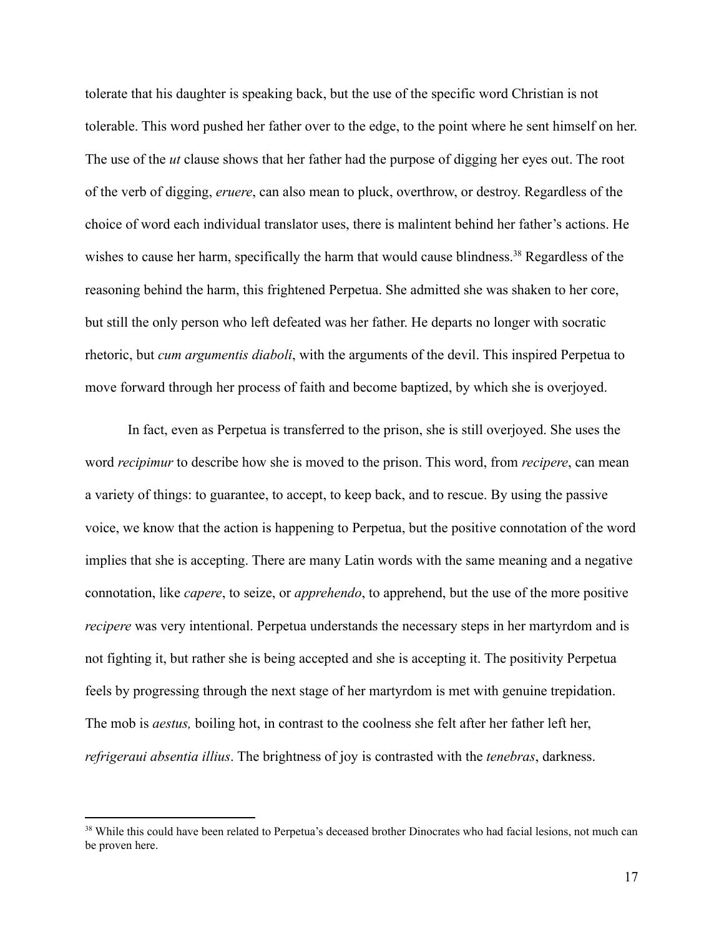tolerate that his daughter is speaking back, but the use of the specific word Christian is not tolerable. This word pushed her father over to the edge, to the point where he sent himself on her. The use of the *ut* clause shows that her father had the purpose of digging her eyes out. The root of the verb of digging, *eruere*, can also mean to pluck, overthrow, or destroy. Regardless of the choice of word each individual translator uses, there is malintent behind her father's actions. He wishes to cause her harm, specifically the harm that would cause blindness.<sup>38</sup> Regardless of the reasoning behind the harm, this frightened Perpetua. She admitted she was shaken to her core, but still the only person who left defeated was her father. He departs no longer with socratic rhetoric, but *cum argumentis diaboli*, with the arguments of the devil. This inspired Perpetua to move forward through her process of faith and become baptized, by which she is overjoyed.

In fact, even as Perpetua is transferred to the prison, she is still overjoyed. She uses the word *recipimur* to describe how she is moved to the prison. This word, from *recipere*, can mean a variety of things: to guarantee, to accept, to keep back, and to rescue. By using the passive voice, we know that the action is happening to Perpetua, but the positive connotation of the word implies that she is accepting. There are many Latin words with the same meaning and a negative connotation, like *capere*, to seize, or *apprehendo*, to apprehend, but the use of the more positive *recipere* was very intentional. Perpetua understands the necessary steps in her martyrdom and is not fighting it, but rather she is being accepted and she is accepting it. The positivity Perpetua feels by progressing through the next stage of her martyrdom is met with genuine trepidation. The mob is *aestus,* boiling hot, in contrast to the coolness she felt after her father left her, *refrigeraui absentia illius*. The brightness of joy is contrasted with the *tenebras*, darkness.

<sup>&</sup>lt;sup>38</sup> While this could have been related to Perpetua's deceased brother Dinocrates who had facial lesions, not much can be proven here.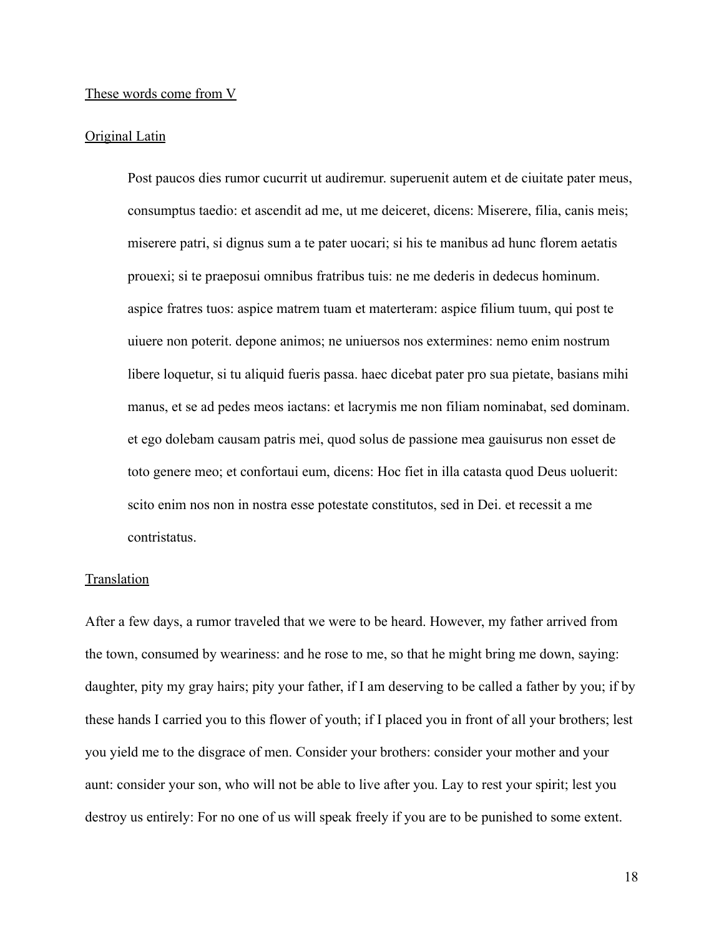#### These words come from V

#### Original Latin

Post paucos dies rumor cucurrit ut audiremur. superuenit autem et de ciuitate pater meus, consumptus taedio: et ascendit ad me, ut me deiceret, dicens: Miserere, filia, canis meis; miserere patri, si dignus sum a te pater uocari; si his te manibus ad hunc florem aetatis prouexi; si te praeposui omnibus fratribus tuis: ne me dederis in dedecus hominum. aspice fratres tuos: aspice matrem tuam et materteram: aspice filium tuum, qui post te uiuere non poterit. depone animos; ne uniuersos nos extermines: nemo enim nostrum libere loquetur, si tu aliquid fueris passa. haec dicebat pater pro sua pietate, basians mihi manus, et se ad pedes meos iactans: et lacrymis me non filiam nominabat, sed dominam. et ego dolebam causam patris mei, quod solus de passione mea gauisurus non esset de toto genere meo; et confortaui eum, dicens: Hoc fiet in illa catasta quod Deus uoluerit: scito enim nos non in nostra esse potestate constitutos, sed in Dei. et recessit a me contristatus.

# **Translation**

After a few days, a rumor traveled that we were to be heard. However, my father arrived from the town, consumed by weariness: and he rose to me, so that he might bring me down, saying: daughter, pity my gray hairs; pity your father, if I am deserving to be called a father by you; if by these hands I carried you to this flower of youth; if I placed you in front of all your brothers; lest you yield me to the disgrace of men. Consider your brothers: consider your mother and your aunt: consider your son, who will not be able to live after you. Lay to rest your spirit; lest you destroy us entirely: For no one of us will speak freely if you are to be punished to some extent.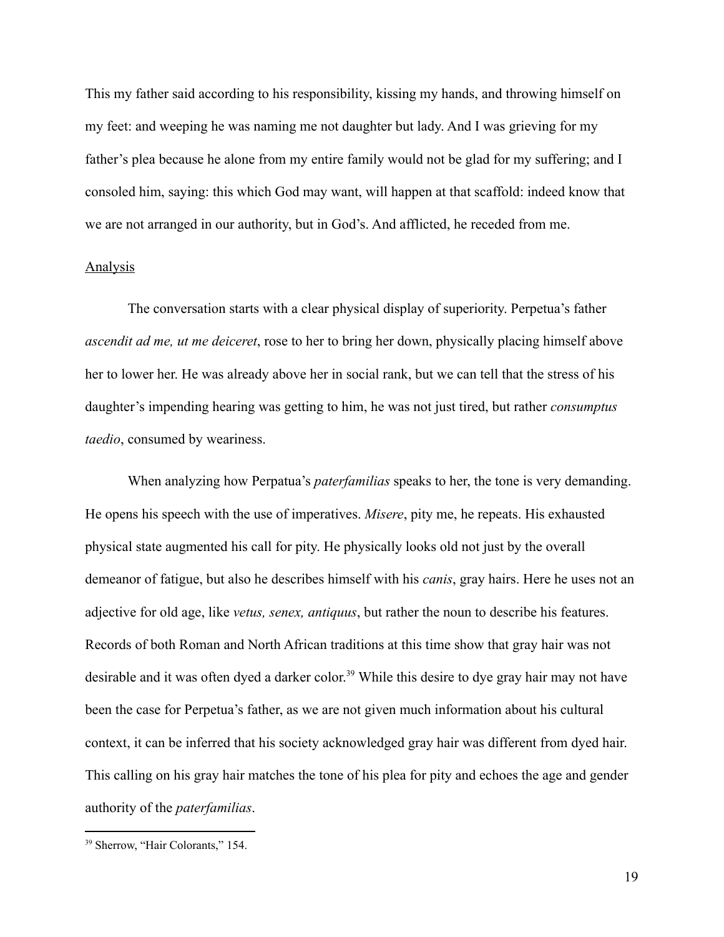This my father said according to his responsibility, kissing my hands, and throwing himself on my feet: and weeping he was naming me not daughter but lady. And I was grieving for my father's plea because he alone from my entire family would not be glad for my suffering; and I consoled him, saying: this which God may want, will happen at that scaffold: indeed know that we are not arranged in our authority, but in God's. And afflicted, he receded from me.

#### **Analysis**

The conversation starts with a clear physical display of superiority. Perpetua's father *ascendit ad me, ut me deiceret*, rose to her to bring her down, physically placing himself above her to lower her. He was already above her in social rank, but we can tell that the stress of his daughter's impending hearing was getting to him, he was not just tired, but rather *consumptus taedio*, consumed by weariness.

When analyzing how Perpatua's *paterfamilias* speaks to her, the tone is very demanding. He opens his speech with the use of imperatives. *Misere*, pity me, he repeats. His exhausted physical state augmented his call for pity. He physically looks old not just by the overall demeanor of fatigue, but also he describes himself with his *canis*, gray hairs. Here he uses not an adjective for old age, like *vetus, senex, antiquus*, but rather the noun to describe his features. Records of both Roman and North African traditions at this time show that gray hair was not desirable and it was often dyed a darker color. <sup>39</sup> While this desire to dye gray hair may not have been the case for Perpetua's father, as we are not given much information about his cultural context, it can be inferred that his society acknowledged gray hair was different from dyed hair. This calling on his gray hair matches the tone of his plea for pity and echoes the age and gender authority of the *paterfamilias*.

<sup>39</sup> Sherrow, "Hair Colorants," 154.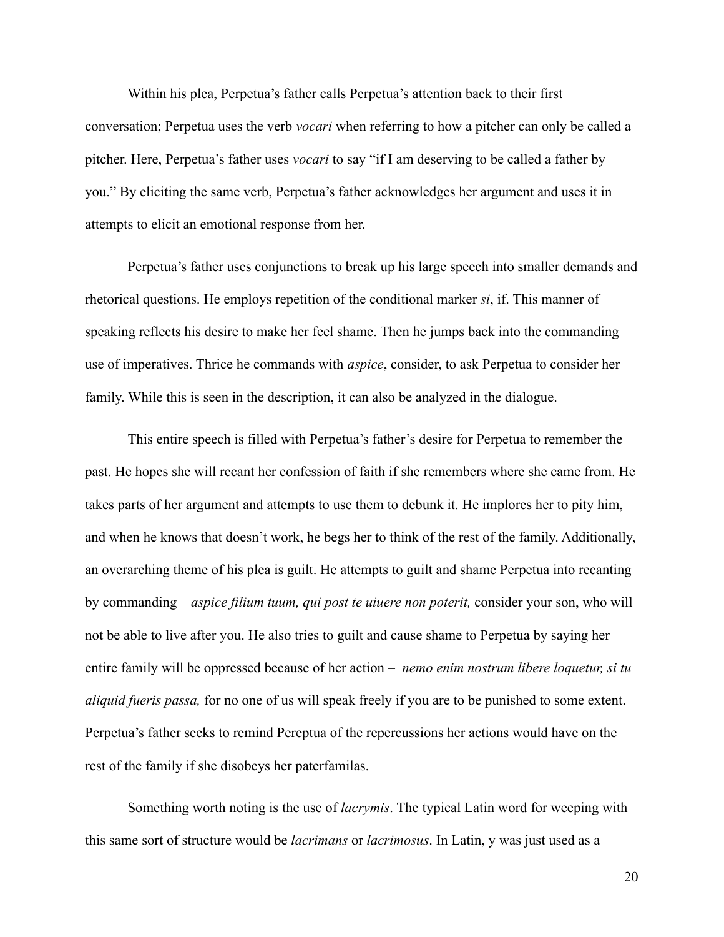Within his plea, Perpetua's father calls Perpetua's attention back to their first conversation; Perpetua uses the verb *vocari* when referring to how a pitcher can only be called a pitcher. Here, Perpetua's father uses *vocari* to say "if I am deserving to be called a father by you." By eliciting the same verb, Perpetua's father acknowledges her argument and uses it in attempts to elicit an emotional response from her.

Perpetua's father uses conjunctions to break up his large speech into smaller demands and rhetorical questions. He employs repetition of the conditional marker *si*, if. This manner of speaking reflects his desire to make her feel shame. Then he jumps back into the commanding use of imperatives. Thrice he commands with *aspice*, consider, to ask Perpetua to consider her family. While this is seen in the description, it can also be analyzed in the dialogue.

This entire speech is filled with Perpetua's father's desire for Perpetua to remember the past. He hopes she will recant her confession of faith if she remembers where she came from. He takes parts of her argument and attempts to use them to debunk it. He implores her to pity him, and when he knows that doesn't work, he begs her to think of the rest of the family. Additionally, an overarching theme of his plea is guilt. He attempts to guilt and shame Perpetua into recanting by commanding – *aspice filium tuum, qui post te uiuere non poterit,* consider your son, who will not be able to live after you. He also tries to guilt and cause shame to Perpetua by saying her entire family will be oppressed because of her action – *nemo enim nostrum libere loquetur, si tu aliquid fueris passa,* for no one of us will speak freely if you are to be punished to some extent. Perpetua's father seeks to remind Pereptua of the repercussions her actions would have on the rest of the family if she disobeys her paterfamilas.

Something worth noting is the use of *lacrymis*. The typical Latin word for weeping with this same sort of structure would be *lacrimans* or *lacrimosus*. In Latin, y was just used as a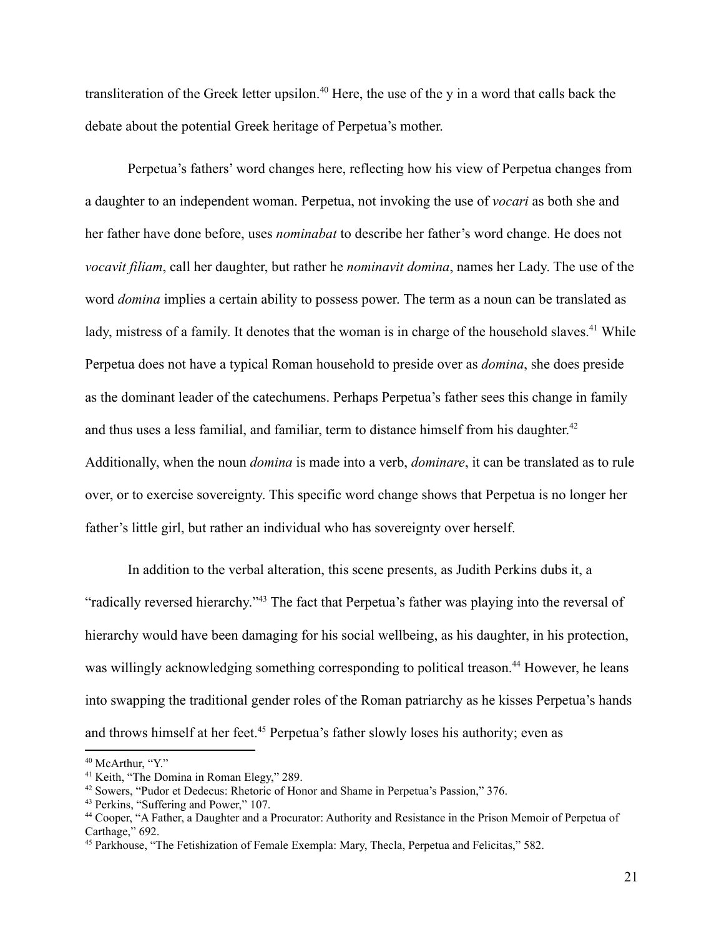transliteration of the Greek letter upsilon.<sup>40</sup> Here, the use of the y in a word that calls back the debate about the potential Greek heritage of Perpetua's mother.

Perpetua's fathers' word changes here, reflecting how his view of Perpetua changes from a daughter to an independent woman. Perpetua, not invoking the use of *vocari* as both she and her father have done before, uses *nominabat* to describe her father's word change. He does not *vocavit filiam*, call her daughter, but rather he *nominavit domina*, names her Lady. The use of the word *domina* implies a certain ability to possess power. The term as a noun can be translated as lady, mistress of a family. It denotes that the woman is in charge of the household slaves.<sup>41</sup> While Perpetua does not have a typical Roman household to preside over as *domina*, she does preside as the dominant leader of the catechumens. Perhaps Perpetua's father sees this change in family and thus uses a less familial, and familiar, term to distance himself from his daughter.<sup>42</sup> Additionally, when the noun *domina* is made into a verb, *dominare*, it can be translated as to rule over, or to exercise sovereignty. This specific word change shows that Perpetua is no longer her father's little girl, but rather an individual who has sovereignty over herself.

In addition to the verbal alteration, this scene presents, as Judith Perkins dubs it, a "radically reversed hierarchy."<sup>43</sup> The fact that Perpetua's father was playing into the reversal of hierarchy would have been damaging for his social wellbeing, as his daughter, in his protection, was willingly acknowledging something corresponding to political treason.<sup>44</sup> However, he leans into swapping the traditional gender roles of the Roman patriarchy as he kisses Perpetua's hands and throws himself at her feet.<sup>45</sup> Perpetua's father slowly loses his authority; even as

<sup>&</sup>lt;sup>40</sup> McArthur, "Y."

<sup>41</sup> Keith, "The Domina in Roman Elegy," 289.

<sup>&</sup>lt;sup>42</sup> Sowers, "Pudor et Dedecus: Rhetoric of Honor and Shame in Perpetua's Passion," 376.

<sup>43</sup> Perkins, "Suffering and Power," 107.

<sup>44</sup> Cooper, "A Father, a Daughter and a Procurator: Authority and Resistance in the Prison Memoir of Perpetua of Carthage," 692.

<sup>45</sup> Parkhouse, "The Fetishization of Female Exempla: Mary, Thecla, Perpetua and Felicitas," 582.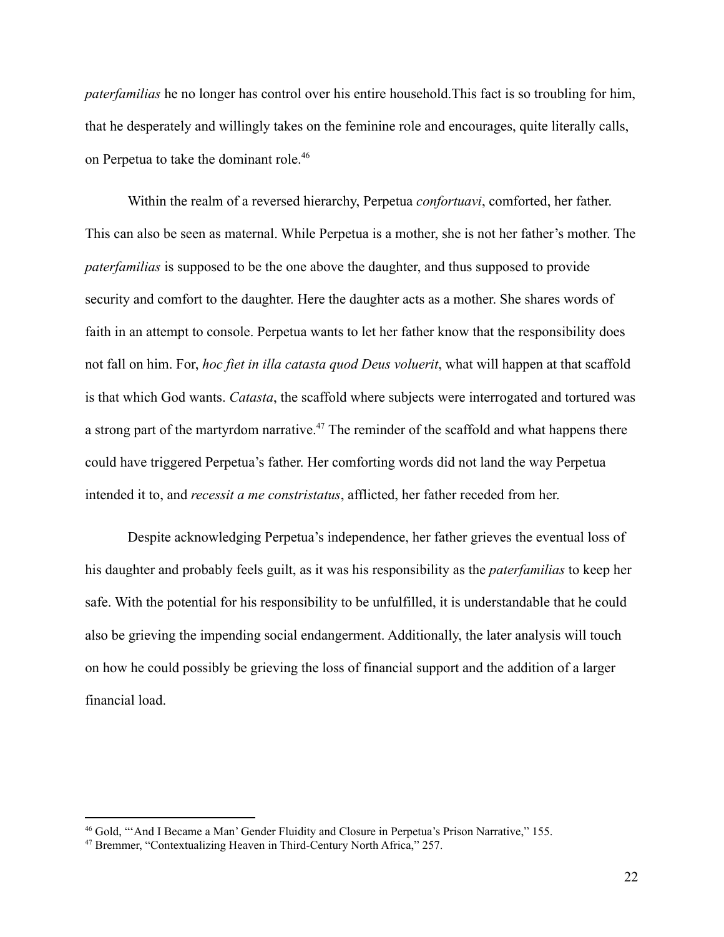*paterfamilias* he no longer has control over his entire household.This fact is so troubling for him, that he desperately and willingly takes on the feminine role and encourages, quite literally calls, on Perpetua to take the dominant role.<sup>46</sup>

Within the realm of a reversed hierarchy, Perpetua *confortuavi*, comforted, her father. This can also be seen as maternal. While Perpetua is a mother, she is not her father's mother. The *paterfamilias* is supposed to be the one above the daughter, and thus supposed to provide security and comfort to the daughter. Here the daughter acts as a mother. She shares words of faith in an attempt to console. Perpetua wants to let her father know that the responsibility does not fall on him. For, *hoc fiet in illa catasta quod Deus voluerit*, what will happen at that scaffold is that which God wants. *Catasta*, the scaffold where subjects were interrogated and tortured was a strong part of the martyrdom narrative.<sup>47</sup> The reminder of the scaffold and what happens there could have triggered Perpetua's father. Her comforting words did not land the way Perpetua intended it to, and *recessit a me constristatus*, afflicted, her father receded from her.

Despite acknowledging Perpetua's independence, her father grieves the eventual loss of his daughter and probably feels guilt, as it was his responsibility as the *paterfamilias* to keep her safe. With the potential for his responsibility to be unfulfilled, it is understandable that he could also be grieving the impending social endangerment. Additionally, the later analysis will touch on how he could possibly be grieving the loss of financial support and the addition of a larger financial load.

<sup>&</sup>lt;sup>46</sup> Gold, "'And I Became a Man' Gender Fluidity and Closure in Perpetua's Prison Narrative," 155.

<sup>47</sup> Bremmer, "Contextualizing Heaven in Third-Century North Africa," 257.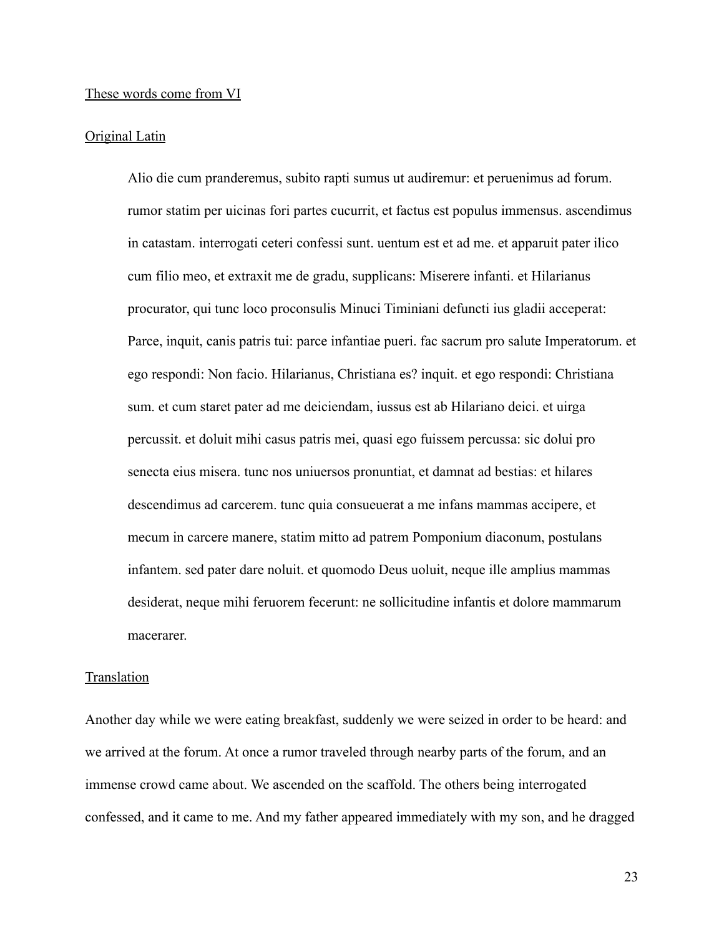#### These words come from VI

#### Original Latin

Alio die cum pranderemus, subito rapti sumus ut audiremur: et peruenimus ad forum. rumor statim per uicinas fori partes cucurrit, et factus est populus immensus. ascendimus in catastam. interrogati ceteri confessi sunt. uentum est et ad me. et apparuit pater ilico cum filio meo, et extraxit me de gradu, supplicans: Miserere infanti. et Hilarianus procurator, qui tunc loco proconsulis Minuci Timiniani defuncti ius gladii acceperat: Parce, inquit, canis patris tui: parce infantiae pueri. fac sacrum pro salute Imperatorum. et ego respondi: Non facio. Hilarianus, Christiana es? inquit. et ego respondi: Christiana sum. et cum staret pater ad me deiciendam, iussus est ab Hilariano deici. et uirga percussit. et doluit mihi casus patris mei, quasi ego fuissem percussa: sic dolui pro senecta eius misera. tunc nos uniuersos pronuntiat, et damnat ad bestias: et hilares descendimus ad carcerem. tunc quia consueuerat a me infans mammas accipere, et mecum in carcere manere, statim mitto ad patrem Pomponium diaconum, postulans infantem. sed pater dare noluit. et quomodo Deus uoluit, neque ille amplius mammas desiderat, neque mihi feruorem fecerunt: ne sollicitudine infantis et dolore mammarum macerarer.

#### Translation

Another day while we were eating breakfast, suddenly we were seized in order to be heard: and we arrived at the forum. At once a rumor traveled through nearby parts of the forum, and an immense crowd came about. We ascended on the scaffold. The others being interrogated confessed, and it came to me. And my father appeared immediately with my son, and he dragged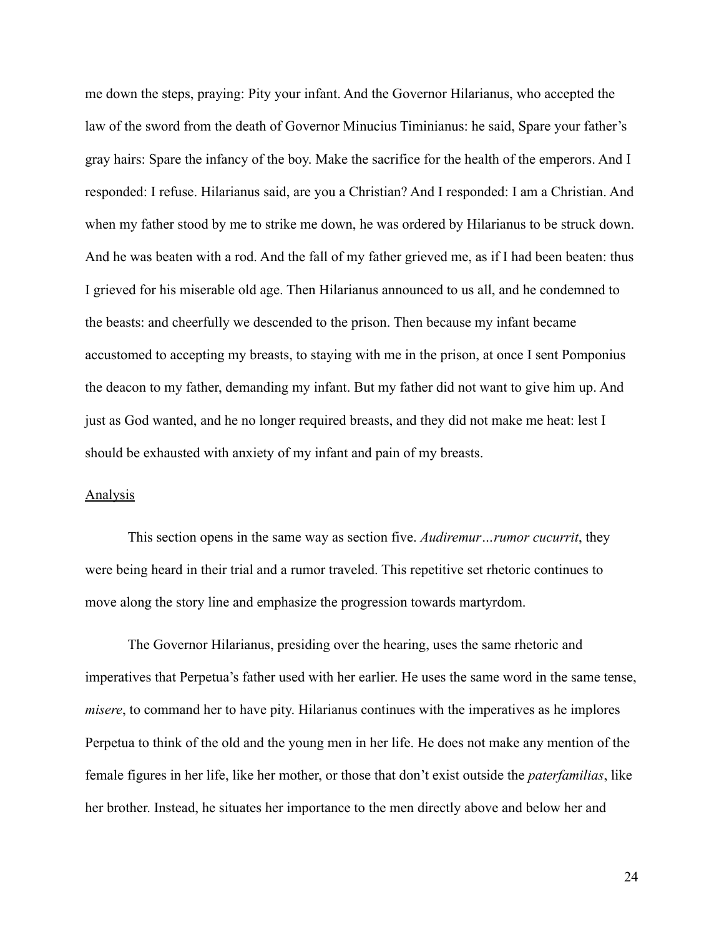me down the steps, praying: Pity your infant. And the Governor Hilarianus, who accepted the law of the sword from the death of Governor Minucius Timinianus: he said, Spare your father's gray hairs: Spare the infancy of the boy. Make the sacrifice for the health of the emperors. And I responded: I refuse. Hilarianus said, are you a Christian? And I responded: I am a Christian. And when my father stood by me to strike me down, he was ordered by Hilarianus to be struck down. And he was beaten with a rod. And the fall of my father grieved me, as if I had been beaten: thus I grieved for his miserable old age. Then Hilarianus announced to us all, and he condemned to the beasts: and cheerfully we descended to the prison. Then because my infant became accustomed to accepting my breasts, to staying with me in the prison, at once I sent Pomponius the deacon to my father, demanding my infant. But my father did not want to give him up. And just as God wanted, and he no longer required breasts, and they did not make me heat: lest I should be exhausted with anxiety of my infant and pain of my breasts.

### Analysis

This section opens in the same way as section five. *Audiremur…rumor cucurrit*, they were being heard in their trial and a rumor traveled. This repetitive set rhetoric continues to move along the story line and emphasize the progression towards martyrdom.

The Governor Hilarianus, presiding over the hearing, uses the same rhetoric and imperatives that Perpetua's father used with her earlier. He uses the same word in the same tense, *misere*, to command her to have pity. Hilarianus continues with the imperatives as he implores Perpetua to think of the old and the young men in her life. He does not make any mention of the female figures in her life, like her mother, or those that don't exist outside the *paterfamilias*, like her brother. Instead, he situates her importance to the men directly above and below her and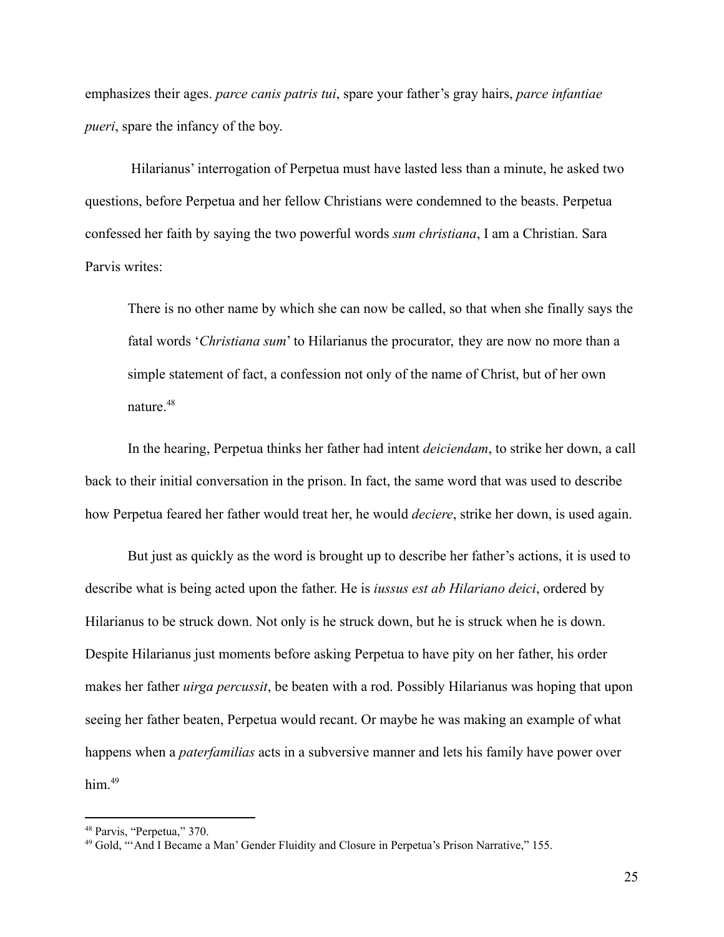emphasizes their ages. *parce canis patris tui*, spare your father's gray hairs, *parce infantiae pueri*, spare the infancy of the boy.

Hilarianus' interrogation of Perpetua must have lasted less than a minute, he asked two questions, before Perpetua and her fellow Christians were condemned to the beasts. Perpetua confessed her faith by saying the two powerful words *sum christiana*, I am a Christian. Sara Parvis writes:

There is no other name by which she can now be called, so that when she finally says the fatal words '*Christiana sum*' to Hilarianus the procurator, they are now no more than a simple statement of fact, a confession not only of the name of Christ, but of her own nature $48$ 

In the hearing, Perpetua thinks her father had intent *deiciendam*, to strike her down, a call back to their initial conversation in the prison. In fact, the same word that was used to describe how Perpetua feared her father would treat her, he would *deciere*, strike her down, is used again.

But just as quickly as the word is brought up to describe her father's actions, it is used to describe what is being acted upon the father. He is *iussus est ab Hilariano deici*, ordered by Hilarianus to be struck down. Not only is he struck down, but he is struck when he is down. Despite Hilarianus just moments before asking Perpetua to have pity on her father, his order makes her father *uirga percussit*, be beaten with a rod. Possibly Hilarianus was hoping that upon seeing her father beaten, Perpetua would recant. Or maybe he was making an example of what happens when a *paterfamilias* acts in a subversive manner and lets his family have power over him.<sup>49</sup>

<sup>48</sup> Parvis, "Perpetua," 370.

<sup>&</sup>lt;sup>49</sup> Gold, "'And I Became a Man' Gender Fluidity and Closure in Perpetua's Prison Narrative," 155.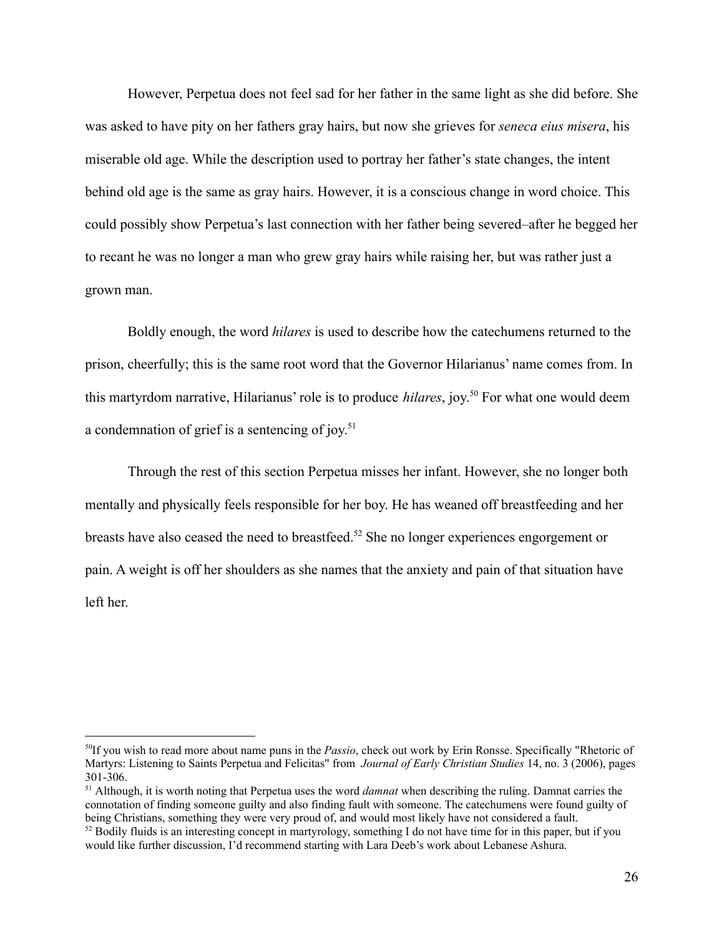However, Perpetua does not feel sad for her father in the same light as she did before. She was asked to have pity on her fathers gray hairs, but now she grieves for *seneca eius misera*, his miserable old age. While the description used to portray her father's state changes, the intent behind old age is the same as gray hairs. However, it is a conscious change in word choice. This could possibly show Perpetua's last connection with her father being severed–after he begged her to recant he was no longer a man who grew gray hairs while raising her, but was rather just a grown man.

Boldly enough, the word *hilares* is used to describe how the catechumens returned to the prison, cheerfully; this is the same root word that the Governor Hilarianus' name comes from. In this martyrdom narrative, Hilarianus' role is to produce *hilares*, joy. <sup>50</sup> For what one would deem a condemnation of grief is a sentencing of joy.<sup>51</sup>

Through the rest of this section Perpetua misses her infant. However, she no longer both mentally and physically feels responsible for her boy. He has weaned off breastfeeding and her breasts have also ceased the need to breastfeed.<sup>52</sup> She no longer experiences engorgement or pain. A weight is off her shoulders as she names that the anxiety and pain of that situation have left her.

<sup>50</sup>If you wish to read more about name puns in the *Passio*, check out work by Erin Ronsse. Specifically "Rhetoric of Martyrs: Listening to Saints Perpetua and Felicitas" from *Journal of Early Christian Studies* 14, no. 3 (2006), pages 301-306.

<sup>51</sup> Although, it is worth noting that Perpetua uses the word *damnat* when describing the ruling. Damnat carries the connotation of finding someone guilty and also finding fault with someone. The catechumens were found guilty of being Christians, something they were very proud of, and would most likely have not considered a fault.

 $52$  Bodily fluids is an interesting concept in martyrology, something I do not have time for in this paper, but if you would like further discussion, I'd recommend starting with Lara Deeb's work about Lebanese Ashura.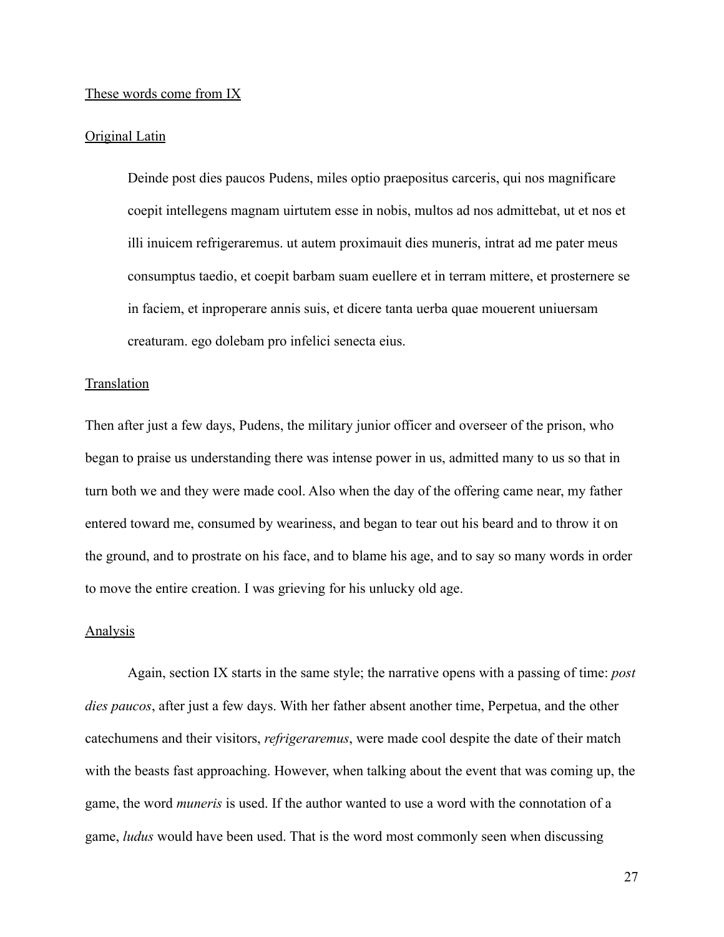#### These words come from IX

#### Original Latin

Deinde post dies paucos Pudens, miles optio praepositus carceris, qui nos magnificare coepit intellegens magnam uirtutem esse in nobis, multos ad nos admittebat, ut et nos et illi inuicem refrigeraremus. ut autem proximauit dies muneris, intrat ad me pater meus consumptus taedio, et coepit barbam suam euellere et in terram mittere, et prosternere se in faciem, et inproperare annis suis, et dicere tanta uerba quae mouerent uniuersam creaturam. ego dolebam pro infelici senecta eius.

#### Translation

Then after just a few days, Pudens, the military junior officer and overseer of the prison, who began to praise us understanding there was intense power in us, admitted many to us so that in turn both we and they were made cool. Also when the day of the offering came near, my father entered toward me, consumed by weariness, and began to tear out his beard and to throw it on the ground, and to prostrate on his face, and to blame his age, and to say so many words in order to move the entire creation. I was grieving for his unlucky old age.

## Analysis

Again, section IX starts in the same style; the narrative opens with a passing of time: *post dies paucos*, after just a few days. With her father absent another time, Perpetua, and the other catechumens and their visitors, *refrigeraremus*, were made cool despite the date of their match with the beasts fast approaching. However, when talking about the event that was coming up, the game, the word *muneris* is used. If the author wanted to use a word with the connotation of a game, *ludus* would have been used. That is the word most commonly seen when discussing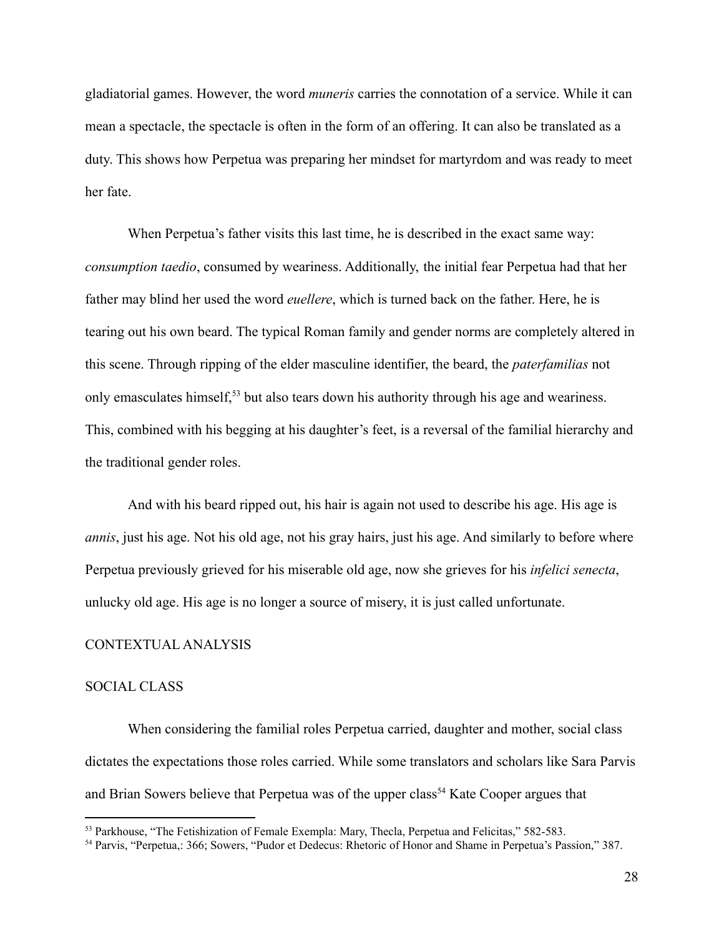gladiatorial games. However, the word *muneris* carries the connotation of a service. While it can mean a spectacle, the spectacle is often in the form of an offering. It can also be translated as a duty. This shows how Perpetua was preparing her mindset for martyrdom and was ready to meet her fate.

When Perpetua's father visits this last time, he is described in the exact same way: *consumption taedio*, consumed by weariness. Additionally, the initial fear Perpetua had that her father may blind her used the word *euellere*, which is turned back on the father. Here, he is tearing out his own beard. The typical Roman family and gender norms are completely altered in this scene. Through ripping of the elder masculine identifier, the beard, the *paterfamilias* not only emasculates himself,<sup>53</sup> but also tears down his authority through his age and weariness. This, combined with his begging at his daughter's feet, is a reversal of the familial hierarchy and the traditional gender roles.

And with his beard ripped out, his hair is again not used to describe his age. His age is *annis*, just his age. Not his old age, not his gray hairs, just his age. And similarly to before where Perpetua previously grieved for his miserable old age, now she grieves for his *infelici senecta*, unlucky old age. His age is no longer a source of misery, it is just called unfortunate.

# CONTEXTUAL ANALYSIS

#### SOCIAL CLASS

When considering the familial roles Perpetua carried, daughter and mother, social class dictates the expectations those roles carried. While some translators and scholars like Sara Parvis and Brian Sowers believe that Perpetua was of the upper class<sup>54</sup> Kate Cooper argues that

<sup>53</sup> Parkhouse, "The Fetishization of Female Exempla: Mary, Thecla, Perpetua and Felicitas," 582-583.

<sup>54</sup> Parvis, "Perpetua,: 366; Sowers, "Pudor et Dedecus: Rhetoric of Honor and Shame in Perpetua's Passion," 387.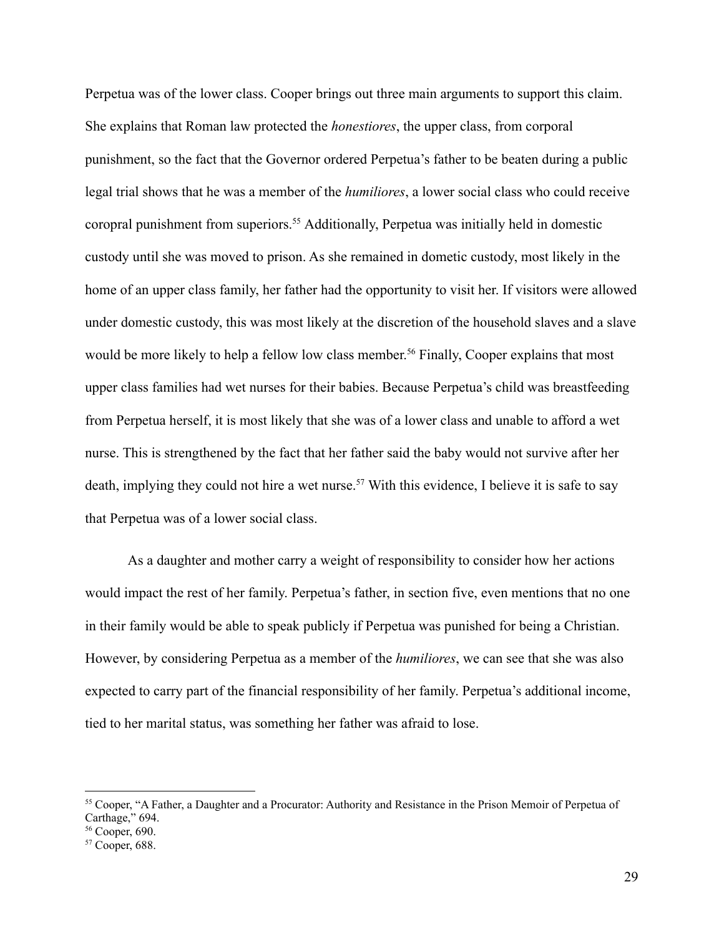Perpetua was of the lower class. Cooper brings out three main arguments to support this claim. She explains that Roman law protected the *honestiores*, the upper class, from corporal punishment, so the fact that the Governor ordered Perpetua's father to be beaten during a public legal trial shows that he was a member of the *humiliores*, a lower social class who could receive coropral punishment from superiors.<sup>55</sup> Additionally, Perpetua was initially held in domestic custody until she was moved to prison. As she remained in dometic custody, most likely in the home of an upper class family, her father had the opportunity to visit her. If visitors were allowed under domestic custody, this was most likely at the discretion of the household slaves and a slave would be more likely to help a fellow low class member.<sup>56</sup> Finally, Cooper explains that most upper class families had wet nurses for their babies. Because Perpetua's child was breastfeeding from Perpetua herself, it is most likely that she was of a lower class and unable to afford a wet nurse. This is strengthened by the fact that her father said the baby would not survive after her death, implying they could not hire a wet nurse.<sup>57</sup> With this evidence, I believe it is safe to say that Perpetua was of a lower social class.

As a daughter and mother carry a weight of responsibility to consider how her actions would impact the rest of her family. Perpetua's father, in section five, even mentions that no one in their family would be able to speak publicly if Perpetua was punished for being a Christian. However, by considering Perpetua as a member of the *humiliores*, we can see that she was also expected to carry part of the financial responsibility of her family. Perpetua's additional income, tied to her marital status, was something her father was afraid to lose.

<sup>55</sup> Cooper, "A Father, a Daughter and a Procurator: Authority and Resistance in the Prison Memoir of Perpetua of Carthage," 694.

<sup>56</sup> Cooper, 690.

<sup>57</sup> Cooper, 688.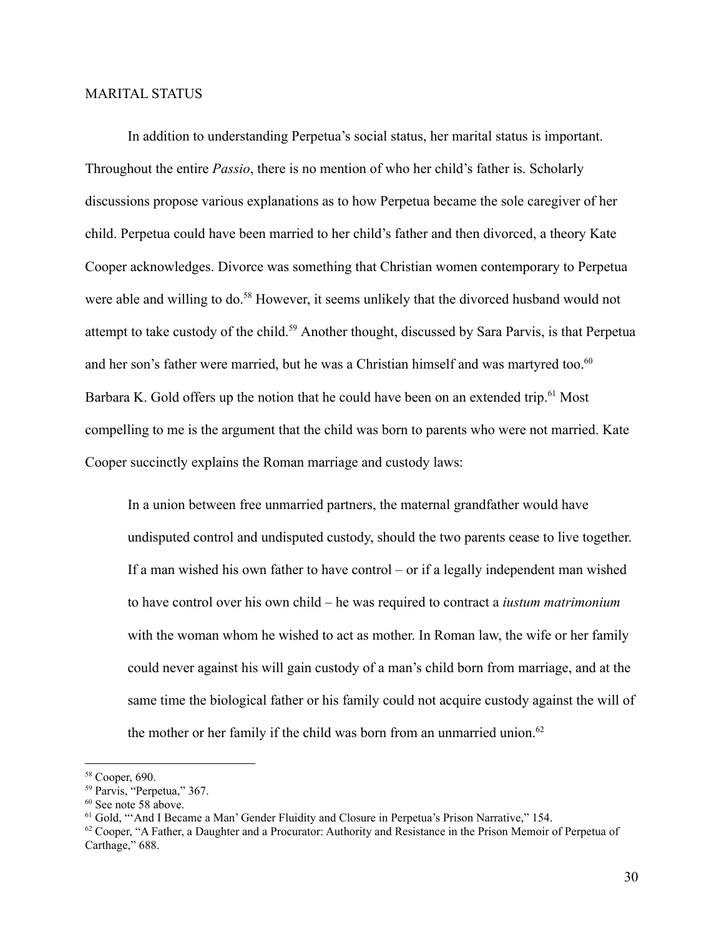#### MARITAL STATUS

In addition to understanding Perpetua's social status, her marital status is important. Throughout the entire *Passio*, there is no mention of who her child's father is. Scholarly discussions propose various explanations as to how Perpetua became the sole caregiver of her child. Perpetua could have been married to her child's father and then divorced, a theory Kate Cooper acknowledges. Divorce was something that Christian women contemporary to Perpetua were able and willing to do.<sup>58</sup> However, it seems unlikely that the divorced husband would not attempt to take custody of the child.<sup>59</sup> Another thought, discussed by Sara Parvis, is that Perpetua and her son's father were married, but he was a Christian himself and was martyred too.<sup>60</sup> Barbara K. Gold offers up the notion that he could have been on an extended trip.<sup>61</sup> Most compelling to me is the argument that the child was born to parents who were not married. Kate Cooper succinctly explains the Roman marriage and custody laws:

In a union between free unmarried partners, the maternal grandfather would have undisputed control and undisputed custody, should the two parents cease to live together. If a man wished his own father to have control – or if a legally independent man wished to have control over his own child – he was required to contract a *iustum matrimonium* with the woman whom he wished to act as mother. In Roman law, the wife or her family could never against his will gain custody of a man's child born from marriage, and at the same time the biological father or his family could not acquire custody against the will of the mother or her family if the child was born from an unmarried union.<sup>62</sup>

<sup>58</sup> Cooper, 690.

<sup>59</sup> Parvis, "Perpetua," 367.

<sup>60</sup> See note 58 above.

<sup>&</sup>lt;sup>61</sup> Gold, "'And I Became a Man' Gender Fluidity and Closure in Perpetua's Prison Narrative," 154.

 $62$  Cooper, "A Father, a Daughter and a Procurator: Authority and Resistance in the Prison Memoir of Perpetua of Carthage," 688.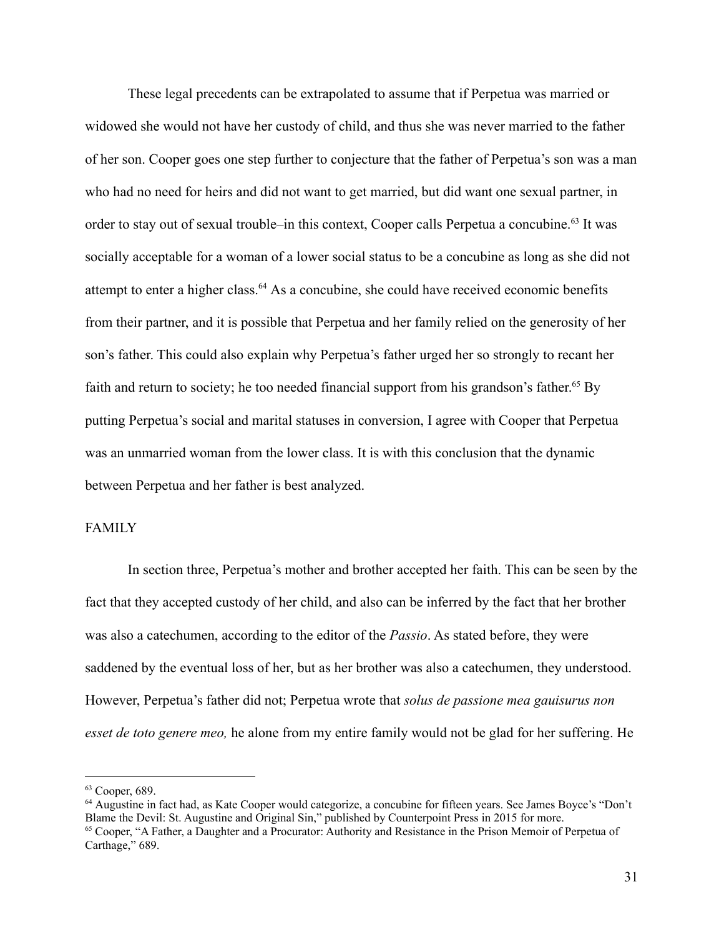These legal precedents can be extrapolated to assume that if Perpetua was married or widowed she would not have her custody of child, and thus she was never married to the father of her son. Cooper goes one step further to conjecture that the father of Perpetua's son was a man who had no need for heirs and did not want to get married, but did want one sexual partner, in order to stay out of sexual trouble–in this context, Cooper calls Perpetua a concubine.<sup>63</sup> It was socially acceptable for a woman of a lower social status to be a concubine as long as she did not attempt to enter a higher class.<sup>64</sup> As a concubine, she could have received economic benefits from their partner, and it is possible that Perpetua and her family relied on the generosity of her son's father. This could also explain why Perpetua's father urged her so strongly to recant her faith and return to society; he too needed financial support from his grandson's father.<sup>65</sup> By putting Perpetua's social and marital statuses in conversion, I agree with Cooper that Perpetua was an unmarried woman from the lower class. It is with this conclusion that the dynamic between Perpetua and her father is best analyzed.

# FAMILY

In section three, Perpetua's mother and brother accepted her faith. This can be seen by the fact that they accepted custody of her child, and also can be inferred by the fact that her brother was also a catechumen, according to the editor of the *Passio*. As stated before, they were saddened by the eventual loss of her, but as her brother was also a catechumen, they understood. However, Perpetua's father did not; Perpetua wrote that *solus de passione mea gauisurus non esset de toto genere meo,* he alone from my entire family would not be glad for her suffering. He

 $63$  Cooper, 689.

<sup>64</sup> Augustine in fact had, as Kate Cooper would categorize, a concubine for fifteen years. See James Boyce's "Don't Blame the Devil: St. Augustine and Original Sin," published by Counterpoint Press in 2015 for more.

<sup>&</sup>lt;sup>65</sup> Cooper, "A Father, a Daughter and a Procurator: Authority and Resistance in the Prison Memoir of Perpetua of Carthage," 689.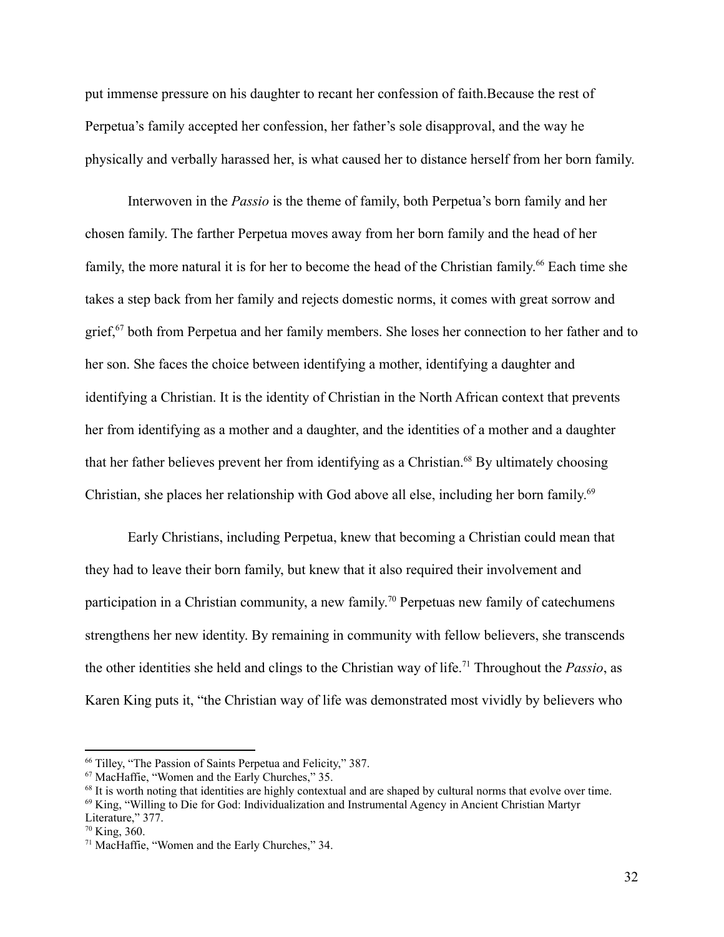put immense pressure on his daughter to recant her confession of faith.Because the rest of Perpetua's family accepted her confession, her father's sole disapproval, and the way he physically and verbally harassed her, is what caused her to distance herself from her born family.

Interwoven in the *Passio* is the theme of family, both Perpetua's born family and her chosen family. The farther Perpetua moves away from her born family and the head of her family, the more natural it is for her to become the head of the Christian family.<sup>66</sup> Each time she takes a step back from her family and rejects domestic norms, it comes with great sorrow and grief,<sup>67</sup> both from Perpetua and her family members. She loses her connection to her father and to her son. She faces the choice between identifying a mother, identifying a daughter and identifying a Christian. It is the identity of Christian in the North African context that prevents her from identifying as a mother and a daughter, and the identities of a mother and a daughter that her father believes prevent her from identifying as a Christian.<sup>68</sup> By ultimately choosing Christian, she places her relationship with God above all else, including her born family. 69

Early Christians, including Perpetua, knew that becoming a Christian could mean that they had to leave their born family, but knew that it also required their involvement and participation in a Christian community, a new family.<sup>70</sup> Perpetuas new family of catechumens strengthens her new identity. By remaining in community with fellow believers, she transcends the other identities she held and clings to the Christian way of life.<sup>71</sup> Throughout the *Passio*, as Karen King puts it, "the Christian way of life was demonstrated most vividly by believers who

<sup>66</sup> Tilley, "The Passion of Saints Perpetua and Felicity," 387.

<sup>67</sup> MacHaffie, "Women and the Early Churches," 35.

<sup>&</sup>lt;sup>68</sup> It is worth noting that identities are highly contextual and are shaped by cultural norms that evolve over time.

<sup>69</sup> King, "Willing to Die for God: Individualization and Instrumental Agency in Ancient Christian Martyr Literature," 377.

 $70$  King, 360.

<sup>71</sup> MacHaffie, "Women and the Early Churches," 34.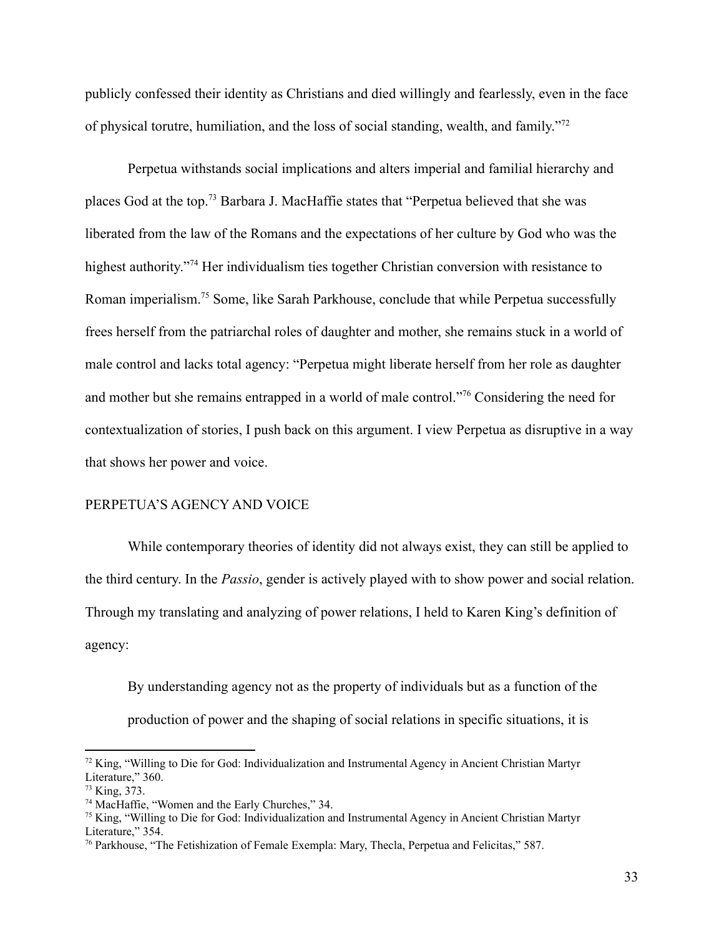publicly confessed their identity as Christians and died willingly and fearlessly, even in the face of physical torutre, humiliation, and the loss of social standing, wealth, and family."<sup>72</sup>

Perpetua withstands social implications and alters imperial and familial hierarchy and places God at the top.<sup>73</sup> Barbara J. MacHaffie states that "Perpetua believed that she was liberated from the law of the Romans and the expectations of her culture by God who was the highest authority."<sup>74</sup> Her individualism ties together Christian conversion with resistance to Roman imperialism.<sup>75</sup> Some, like Sarah Parkhouse, conclude that while Perpetua successfully frees herself from the patriarchal roles of daughter and mother, she remains stuck in a world of male control and lacks total agency: "Perpetua might liberate herself from her role as daughter and mother but she remains entrapped in a world of male control."<sup>76</sup> Considering the need for contextualization of stories, I push back on this argument. I view Perpetua as disruptive in a way that shows her power and voice.

# PERPETUA'S AGENCY AND VOICE

While contemporary theories of identity did not always exist, they can still be applied to the third century. In the *Passio*, gender is actively played with to show power and social relation. Through my translating and analyzing of power relations, I held to Karen King's definition of agency:

By understanding agency not as the property of individuals but as a function of the production of power and the shaping of social relations in specific situations, it is

 $72$  King, "Willing to Die for God: Individualization and Instrumental Agency in Ancient Christian Martyr Literature," 360.

<sup>73</sup> King, 373.

<sup>74</sup> MacHaffie, "Women and the Early Churches," 34.

<sup>75</sup> King, "Willing to Die for God: Individualization and Instrumental Agency in Ancient Christian Martyr Literature," 354.

<sup>76</sup> Parkhouse, "The Fetishization of Female Exempla: Mary, Thecla, Perpetua and Felicitas," 587.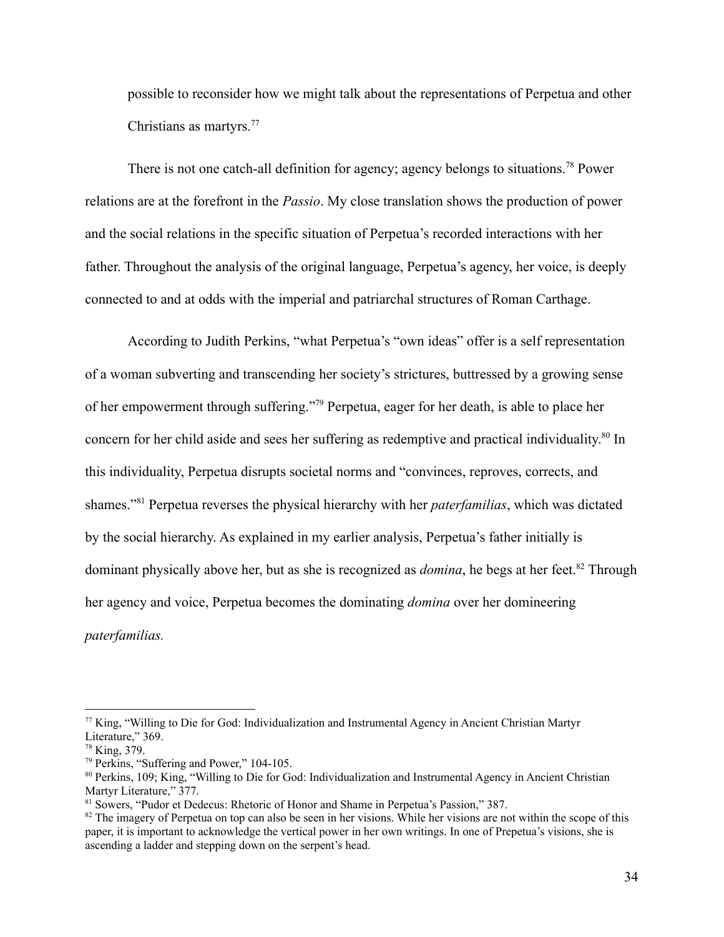possible to reconsider how we might talk about the representations of Perpetua and other Christians as martyrs.<sup>77</sup>

There is not one catch-all definition for agency; agency belongs to situations.<sup>78</sup> Power relations are at the forefront in the *Passio*. My close translation shows the production of power and the social relations in the specific situation of Perpetua's recorded interactions with her father. Throughout the analysis of the original language, Perpetua's agency, her voice, is deeply connected to and at odds with the imperial and patriarchal structures of Roman Carthage.

According to Judith Perkins, "what Perpetua's "own ideas" offer is a self representation of a woman subverting and transcending her society's strictures, buttressed by a growing sense of her empowerment through suffering."<sup>79</sup> Perpetua, eager for her death, is able to place her concern for her child aside and sees her suffering as redemptive and practical individuality. 80 In this individuality, Perpetua disrupts societal norms and "convinces, reproves, corrects, and shames."<sup>81</sup> Perpetua reverses the physical hierarchy with her *paterfamilias*, which was dictated by the social hierarchy. As explained in my earlier analysis, Perpetua's father initially is dominant physically above her, but as she is recognized as *domina*, he begs at her feet.<sup>82</sup> Through her agency and voice, Perpetua becomes the dominating *domina* over her domineering *paterfamilias.*

<sup>77</sup> King, "Willing to Die for God: Individualization and Instrumental Agency in Ancient Christian Martyr Literature," 369.

<sup>78</sup> King, 379.

<sup>79</sup> Perkins, "Suffering and Power," 104-105.

<sup>80</sup> Perkins, 109; King, "Willing to Die for God: Individualization and Instrumental Agency in Ancient Christian Martyr Literature," 377.

<sup>81</sup> Sowers, "Pudor et Dedecus: Rhetoric of Honor and Shame in Perpetua's Passion," 387.

 $82$  The imagery of Perpetua on top can also be seen in her visions. While her visions are not within the scope of this paper, it is important to acknowledge the vertical power in her own writings. In one of Prepetua's visions, she is ascending a ladder and stepping down on the serpent's head.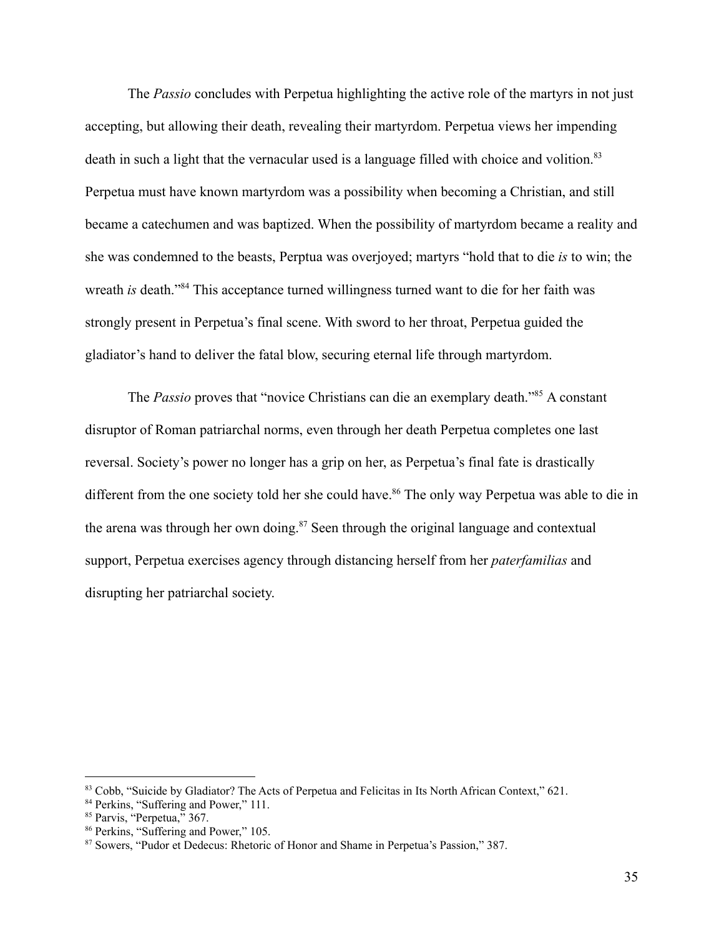The *Passio* concludes with Perpetua highlighting the active role of the martyrs in not just accepting, but allowing their death, revealing their martyrdom. Perpetua views her impending death in such a light that the vernacular used is a language filled with choice and volition.<sup>83</sup> Perpetua must have known martyrdom was a possibility when becoming a Christian, and still became a catechumen and was baptized. When the possibility of martyrdom became a reality and she was condemned to the beasts, Perptua was overjoyed; martyrs "hold that to die *is* to win; the wreath *is* death."<sup>84</sup> This acceptance turned willingness turned want to die for her faith was strongly present in Perpetua's final scene. With sword to her throat, Perpetua guided the gladiator's hand to deliver the fatal blow, securing eternal life through martyrdom.

The *Passio* proves that "novice Christians can die an exemplary death."<sup>85</sup> A constant disruptor of Roman patriarchal norms, even through her death Perpetua completes one last reversal. Society's power no longer has a grip on her, as Perpetua's final fate is drastically different from the one society told her she could have.<sup>86</sup> The only way Perpetua was able to die in the arena was through her own doing.<sup>87</sup> Seen through the original language and contextual support, Perpetua exercises agency through distancing herself from her *paterfamilias* and disrupting her patriarchal society.

<sup>83</sup> Cobb, "Suicide by Gladiator? The Acts of Perpetua and Felicitas in Its North African Context," 621.

<sup>&</sup>lt;sup>84</sup> Perkins, "Suffering and Power," 111.

<sup>&</sup>lt;sup>85</sup> Parvis, "Perpetua," 367.

<sup>86</sup> Perkins, "Suffering and Power," 105.

<sup>87</sup> Sowers, "Pudor et Dedecus: Rhetoric of Honor and Shame in Perpetua's Passion," 387.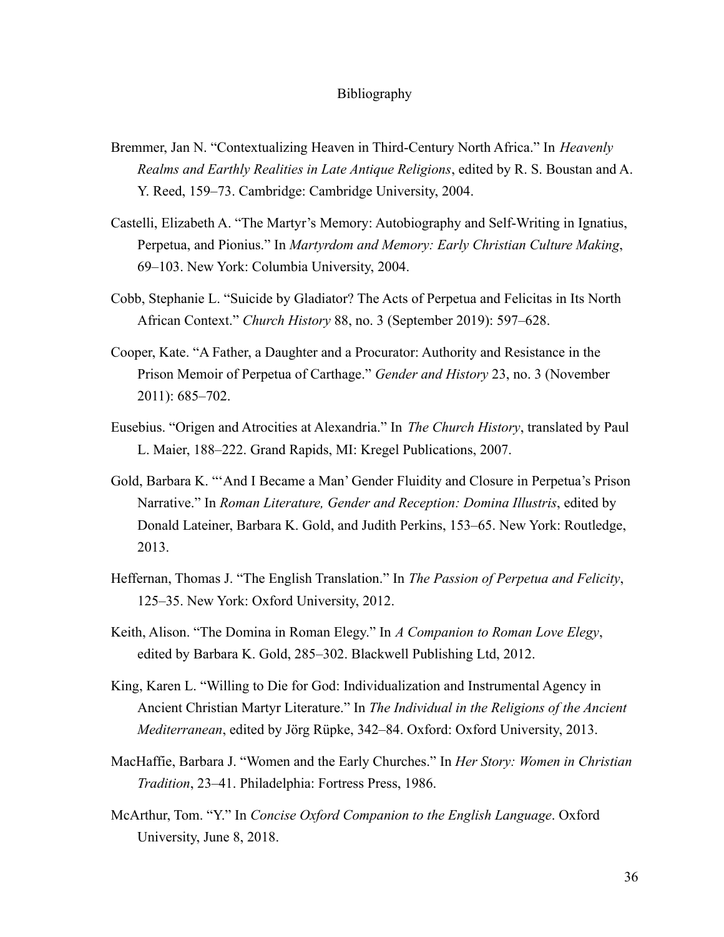#### Bibliography

- Bremmer, Jan N. "Contextualizing Heaven in Third-Century North Africa." In *Heavenly Realms and Earthly Realities in Late Antique Religions*, edited by R. S. Boustan and A. Y. Reed, 159–73. Cambridge: Cambridge University, 2004.
- Castelli, Elizabeth A. "The Martyr's Memory: Autobiography and Self-Writing in Ignatius, Perpetua, and Pionius." In *Martyrdom and Memory: Early Christian Culture Making*, 69–103. New York: Columbia University, 2004.
- Cobb, Stephanie L. "Suicide by Gladiator? The Acts of Perpetua and Felicitas in Its North African Context." *Church History* 88, no. 3 (September 2019): 597–628.
- Cooper, Kate. "A Father, a Daughter and a Procurator: Authority and Resistance in the Prison Memoir of Perpetua of Carthage." *Gender and History* 23, no. 3 (November 2011): 685–702.
- Eusebius. "Origen and Atrocities at Alexandria." In *The Church History*, translated by Paul L. Maier, 188–222. Grand Rapids, MI: Kregel Publications, 2007.
- Gold, Barbara K. "'And I Became a Man' Gender Fluidity and Closure in Perpetua's Prison Narrative." In *Roman Literature, Gender and Reception: Domina Illustris*, edited by Donald Lateiner, Barbara K. Gold, and Judith Perkins, 153–65. New York: Routledge, 2013.
- Heffernan, Thomas J. "The English Translation." In *The Passion of Perpetua and Felicity*, 125–35. New York: Oxford University, 2012.
- Keith, Alison. "The Domina in Roman Elegy." In *A Companion to Roman Love Elegy*, edited by Barbara K. Gold, 285–302. Blackwell Publishing Ltd, 2012.
- King, Karen L. "Willing to Die for God: Individualization and Instrumental Agency in Ancient Christian Martyr Literature." In *The Individual in the Religions of the Ancient Mediterranean*, edited by Jörg Rüpke, 342–84. Oxford: Oxford University, 2013.
- MacHaffie, Barbara J. "Women and the Early Churches." In *Her Story: Women in Christian Tradition*, 23–41. Philadelphia: Fortress Press, 1986.
- McArthur, Tom. "Y." In *Concise Oxford Companion to the English Language*. Oxford University, June 8, 2018.